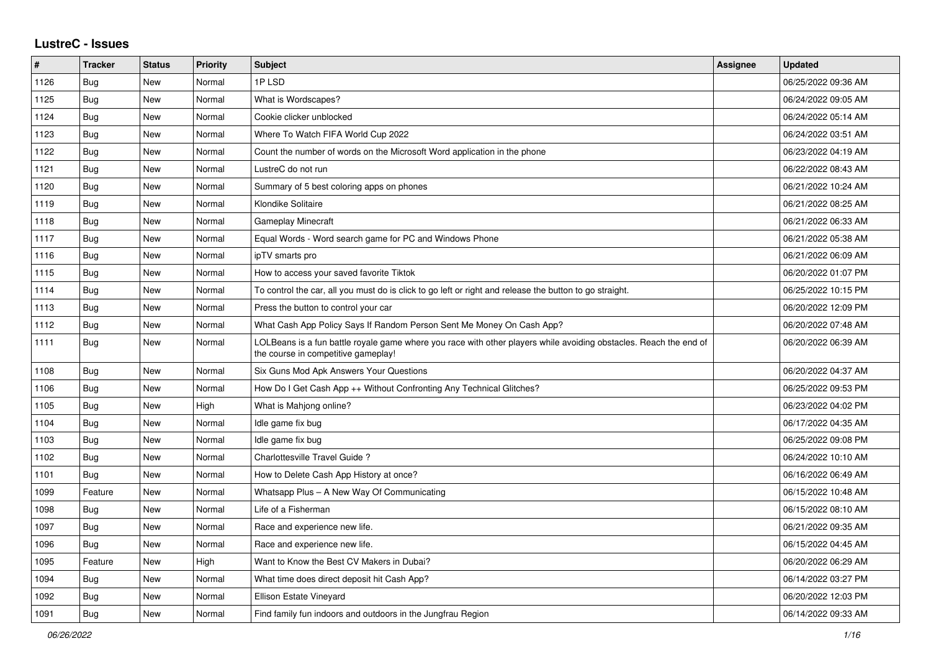## **LustreC - Issues**

| $\sharp$ | <b>Tracker</b> | <b>Status</b> | <b>Priority</b> | <b>Subject</b>                                                                                                                                           | Assignee | Updated             |
|----------|----------------|---------------|-----------------|----------------------------------------------------------------------------------------------------------------------------------------------------------|----------|---------------------|
| 1126     | Bug            | <b>New</b>    | Normal          | 1PLSD                                                                                                                                                    |          | 06/25/2022 09:36 AM |
| 1125     | <b>Bug</b>     | <b>New</b>    | Normal          | What is Wordscapes?                                                                                                                                      |          | 06/24/2022 09:05 AM |
| 1124     | <b>Bug</b>     | <b>New</b>    | Normal          | Cookie clicker unblocked                                                                                                                                 |          | 06/24/2022 05:14 AM |
| 1123     | Bug            | <b>New</b>    | Normal          | Where To Watch FIFA World Cup 2022                                                                                                                       |          | 06/24/2022 03:51 AM |
| 1122     | Bug            | <b>New</b>    | Normal          | Count the number of words on the Microsoft Word application in the phone                                                                                 |          | 06/23/2022 04:19 AM |
| 1121     | <b>Bug</b>     | <b>New</b>    | Normal          | LustreC do not run                                                                                                                                       |          | 06/22/2022 08:43 AM |
| 1120     | Bug            | <b>New</b>    | Normal          | Summary of 5 best coloring apps on phones                                                                                                                |          | 06/21/2022 10:24 AM |
| 1119     | Bug            | <b>New</b>    | Normal          | Klondike Solitaire                                                                                                                                       |          | 06/21/2022 08:25 AM |
| 1118     | <b>Bug</b>     | <b>New</b>    | Normal          | <b>Gameplay Minecraft</b>                                                                                                                                |          | 06/21/2022 06:33 AM |
| 1117     | Bug            | <b>New</b>    | Normal          | Equal Words - Word search game for PC and Windows Phone                                                                                                  |          | 06/21/2022 05:38 AM |
| 1116     | <b>Bug</b>     | New           | Normal          | ipTV smarts pro                                                                                                                                          |          | 06/21/2022 06:09 AM |
| 1115     | Bug            | <b>New</b>    | Normal          | How to access your saved favorite Tiktok                                                                                                                 |          | 06/20/2022 01:07 PM |
| 1114     | <b>Bug</b>     | <b>New</b>    | Normal          | To control the car, all you must do is click to go left or right and release the button to go straight.                                                  |          | 06/25/2022 10:15 PM |
| 1113     | Bug            | <b>New</b>    | Normal          | Press the button to control your car                                                                                                                     |          | 06/20/2022 12:09 PM |
| 1112     | <b>Bug</b>     | <b>New</b>    | Normal          | What Cash App Policy Says If Random Person Sent Me Money On Cash App?                                                                                    |          | 06/20/2022 07:48 AM |
| 1111     | Bug            | <b>New</b>    | Normal          | LOLBeans is a fun battle royale game where you race with other players while avoiding obstacles. Reach the end of<br>the course in competitive gameplay! |          | 06/20/2022 06:39 AM |
| 1108     | Bug            | <b>New</b>    | Normal          | Six Guns Mod Apk Answers Your Questions                                                                                                                  |          | 06/20/2022 04:37 AM |
| 1106     | Bug            | <b>New</b>    | Normal          | How Do I Get Cash App ++ Without Confronting Any Technical Glitches?                                                                                     |          | 06/25/2022 09:53 PM |
| 1105     | Bug            | <b>New</b>    | High            | What is Mahjong online?                                                                                                                                  |          | 06/23/2022 04:02 PM |
| 1104     | Bug            | <b>New</b>    | Normal          | Idle game fix bug                                                                                                                                        |          | 06/17/2022 04:35 AM |
| 1103     | Bug            | <b>New</b>    | Normal          | Idle game fix bug                                                                                                                                        |          | 06/25/2022 09:08 PM |
| 1102     | <b>Bug</b>     | <b>New</b>    | Normal          | Charlottesville Travel Guide?                                                                                                                            |          | 06/24/2022 10:10 AM |
| 1101     | <b>Bug</b>     | <b>New</b>    | Normal          | How to Delete Cash App History at once?                                                                                                                  |          | 06/16/2022 06:49 AM |
| 1099     | Feature        | <b>New</b>    | Normal          | Whatsapp Plus - A New Way Of Communicating                                                                                                               |          | 06/15/2022 10:48 AM |
| 1098     | <b>Bug</b>     | <b>New</b>    | Normal          | Life of a Fisherman                                                                                                                                      |          | 06/15/2022 08:10 AM |
| 1097     | Bug            | <b>New</b>    | Normal          | Race and experience new life.                                                                                                                            |          | 06/21/2022 09:35 AM |
| 1096     | Bug            | <b>New</b>    | Normal          | Race and experience new life.                                                                                                                            |          | 06/15/2022 04:45 AM |
| 1095     | Feature        | New           | High            | Want to Know the Best CV Makers in Dubai?                                                                                                                |          | 06/20/2022 06:29 AM |
| 1094     | Bug            | New           | Normal          | What time does direct deposit hit Cash App?                                                                                                              |          | 06/14/2022 03:27 PM |
| 1092     | Bug            | New           | Normal          | <b>Ellison Estate Vineyard</b>                                                                                                                           |          | 06/20/2022 12:03 PM |
| 1091     | Bug            | New           | Normal          | Find family fun indoors and outdoors in the Jungfrau Region                                                                                              |          | 06/14/2022 09:33 AM |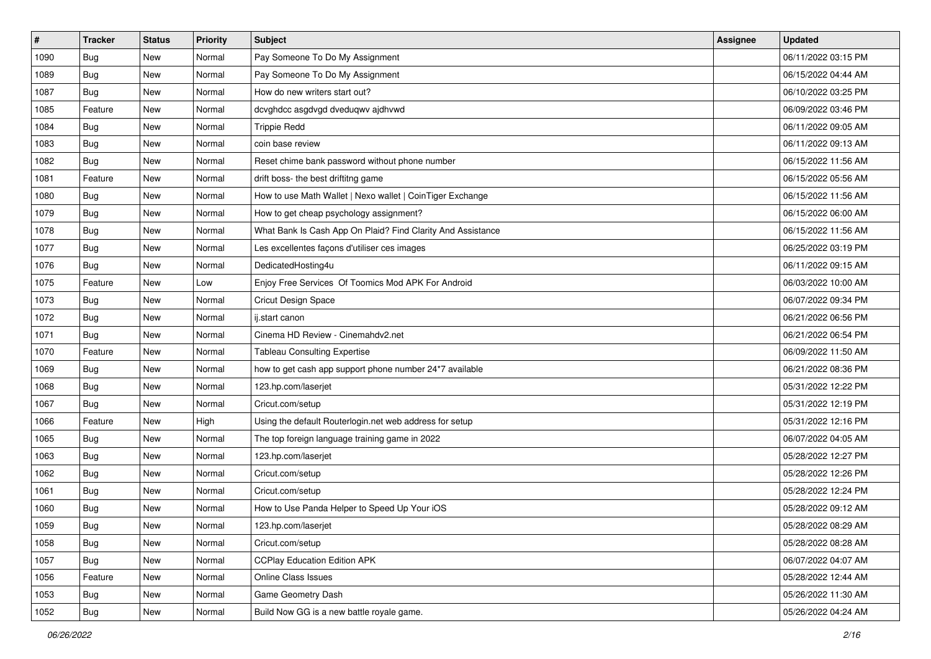| $\vert$ # | <b>Tracker</b> | <b>Status</b> | <b>Priority</b> | Subject                                                     | <b>Assignee</b> | <b>Updated</b>      |
|-----------|----------------|---------------|-----------------|-------------------------------------------------------------|-----------------|---------------------|
| 1090      | <b>Bug</b>     | New           | Normal          | Pay Someone To Do My Assignment                             |                 | 06/11/2022 03:15 PM |
| 1089      | <b>Bug</b>     | New           | Normal          | Pay Someone To Do My Assignment                             |                 | 06/15/2022 04:44 AM |
| 1087      | Bug            | New           | Normal          | How do new writers start out?                               |                 | 06/10/2022 03:25 PM |
| 1085      | Feature        | New           | Normal          | dcvghdcc asgdvgd dveduqwv ajdhvwd                           |                 | 06/09/2022 03:46 PM |
| 1084      | Bug            | New           | Normal          | <b>Trippie Redd</b>                                         |                 | 06/11/2022 09:05 AM |
| 1083      | <b>Bug</b>     | New           | Normal          | coin base review                                            |                 | 06/11/2022 09:13 AM |
| 1082      | <b>Bug</b>     | New           | Normal          | Reset chime bank password without phone number              |                 | 06/15/2022 11:56 AM |
| 1081      | Feature        | New           | Normal          | drift boss- the best driftitng game                         |                 | 06/15/2022 05:56 AM |
| 1080      | <b>Bug</b>     | New           | Normal          | How to use Math Wallet   Nexo wallet   CoinTiger Exchange   |                 | 06/15/2022 11:56 AM |
| 1079      | Bug            | New           | Normal          | How to get cheap psychology assignment?                     |                 | 06/15/2022 06:00 AM |
| 1078      | <b>Bug</b>     | New           | Normal          | What Bank Is Cash App On Plaid? Find Clarity And Assistance |                 | 06/15/2022 11:56 AM |
| 1077      | <b>Bug</b>     | New           | Normal          | Les excellentes façons d'utiliser ces images                |                 | 06/25/2022 03:19 PM |
| 1076      | <b>Bug</b>     | New           | Normal          | DedicatedHosting4u                                          |                 | 06/11/2022 09:15 AM |
| 1075      | Feature        | New           | Low             | Enjoy Free Services Of Toomics Mod APK For Android          |                 | 06/03/2022 10:00 AM |
| 1073      | Bug            | New           | Normal          | <b>Cricut Design Space</b>                                  |                 | 06/07/2022 09:34 PM |
| 1072      | <b>Bug</b>     | New           | Normal          | ij.start canon                                              |                 | 06/21/2022 06:56 PM |
| 1071      | <b>Bug</b>     | New           | Normal          | Cinema HD Review - Cinemahdv2.net                           |                 | 06/21/2022 06:54 PM |
| 1070      | Feature        | New           | Normal          | <b>Tableau Consulting Expertise</b>                         |                 | 06/09/2022 11:50 AM |
| 1069      | <b>Bug</b>     | New           | Normal          | how to get cash app support phone number 24*7 available     |                 | 06/21/2022 08:36 PM |
| 1068      | <b>Bug</b>     | New           | Normal          | 123.hp.com/laserjet                                         |                 | 05/31/2022 12:22 PM |
| 1067      | <b>Bug</b>     | New           | Normal          | Cricut.com/setup                                            |                 | 05/31/2022 12:19 PM |
| 1066      | Feature        | New           | High            | Using the default Routerlogin.net web address for setup     |                 | 05/31/2022 12:16 PM |
| 1065      | Bug            | New           | Normal          | The top foreign language training game in 2022              |                 | 06/07/2022 04:05 AM |
| 1063      | <b>Bug</b>     | New           | Normal          | 123.hp.com/laserjet                                         |                 | 05/28/2022 12:27 PM |
| 1062      | <b>Bug</b>     | New           | Normal          | Cricut.com/setup                                            |                 | 05/28/2022 12:26 PM |
| 1061      | Bug            | New           | Normal          | Cricut.com/setup                                            |                 | 05/28/2022 12:24 PM |
| 1060      | <b>Bug</b>     | New           | Normal          | How to Use Panda Helper to Speed Up Your iOS                |                 | 05/28/2022 09:12 AM |
| 1059      | I Bug          | New           | Normal          | 123.hp.com/laserjet                                         |                 | 05/28/2022 08:29 AM |
| 1058      | <b>Bug</b>     | New           | Normal          | Cricut.com/setup                                            |                 | 05/28/2022 08:28 AM |
| 1057      | Bug            | New           | Normal          | <b>CCPlay Education Edition APK</b>                         |                 | 06/07/2022 04:07 AM |
| 1056      | Feature        | New           | Normal          | Online Class Issues                                         |                 | 05/28/2022 12:44 AM |
| 1053      | <b>Bug</b>     | New           | Normal          | Game Geometry Dash                                          |                 | 05/26/2022 11:30 AM |
| 1052      | <b>Bug</b>     | New           | Normal          | Build Now GG is a new battle royale game.                   |                 | 05/26/2022 04:24 AM |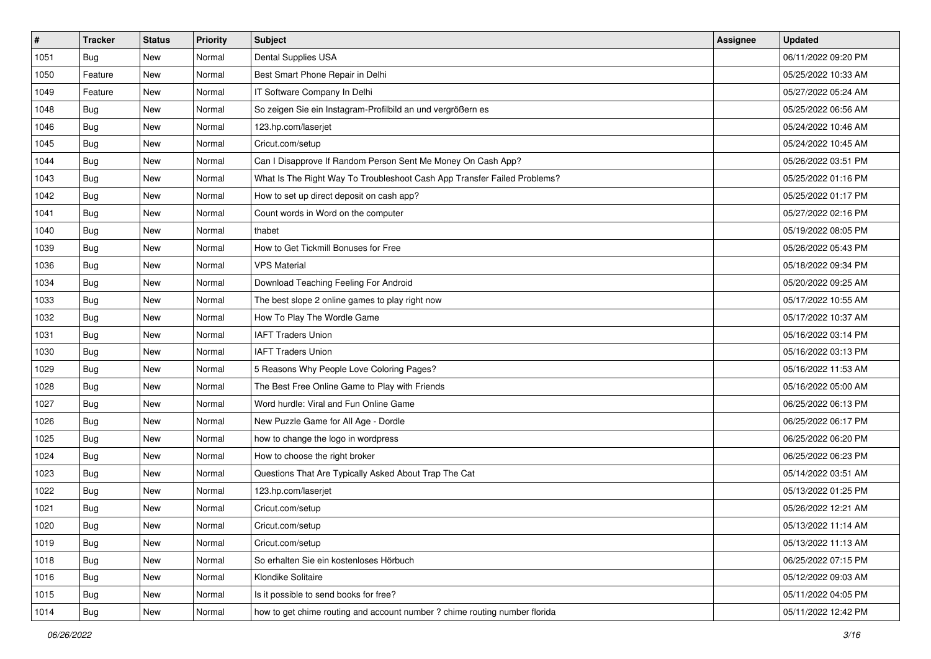| $\pmb{\#}$ | <b>Tracker</b> | <b>Status</b> | <b>Priority</b> | <b>Subject</b>                                                             | <b>Assignee</b> | <b>Updated</b>      |
|------------|----------------|---------------|-----------------|----------------------------------------------------------------------------|-----------------|---------------------|
| 1051       | <b>Bug</b>     | New           | Normal          | Dental Supplies USA                                                        |                 | 06/11/2022 09:20 PM |
| 1050       | Feature        | New           | Normal          | Best Smart Phone Repair in Delhi                                           |                 | 05/25/2022 10:33 AM |
| 1049       | Feature        | New           | Normal          | IT Software Company In Delhi                                               |                 | 05/27/2022 05:24 AM |
| 1048       | <b>Bug</b>     | New           | Normal          | So zeigen Sie ein Instagram-Profilbild an und vergrößern es                |                 | 05/25/2022 06:56 AM |
| 1046       | <b>Bug</b>     | New           | Normal          | 123.hp.com/laserjet                                                        |                 | 05/24/2022 10:46 AM |
| 1045       | <b>Bug</b>     | New           | Normal          | Cricut.com/setup                                                           |                 | 05/24/2022 10:45 AM |
| 1044       | Bug            | New           | Normal          | Can I Disapprove If Random Person Sent Me Money On Cash App?               |                 | 05/26/2022 03:51 PM |
| 1043       | <b>Bug</b>     | New           | Normal          | What Is The Right Way To Troubleshoot Cash App Transfer Failed Problems?   |                 | 05/25/2022 01:16 PM |
| 1042       | Bug            | New           | Normal          | How to set up direct deposit on cash app?                                  |                 | 05/25/2022 01:17 PM |
| 1041       | Bug            | New           | Normal          | Count words in Word on the computer                                        |                 | 05/27/2022 02:16 PM |
| 1040       | <b>Bug</b>     | New           | Normal          | thabet                                                                     |                 | 05/19/2022 08:05 PM |
| 1039       | Bug            | New           | Normal          | How to Get Tickmill Bonuses for Free                                       |                 | 05/26/2022 05:43 PM |
| 1036       | Bug            | New           | Normal          | <b>VPS Material</b>                                                        |                 | 05/18/2022 09:34 PM |
| 1034       | <b>Bug</b>     | New           | Normal          | Download Teaching Feeling For Android                                      |                 | 05/20/2022 09:25 AM |
| 1033       | Bug            | New           | Normal          | The best slope 2 online games to play right now                            |                 | 05/17/2022 10:55 AM |
| 1032       | Bug            | New           | Normal          | How To Play The Wordle Game                                                |                 | 05/17/2022 10:37 AM |
| 1031       | Bug            | New           | Normal          | <b>IAFT Traders Union</b>                                                  |                 | 05/16/2022 03:14 PM |
| 1030       | Bug            | New           | Normal          | <b>IAFT Traders Union</b>                                                  |                 | 05/16/2022 03:13 PM |
| 1029       | <b>Bug</b>     | New           | Normal          | 5 Reasons Why People Love Coloring Pages?                                  |                 | 05/16/2022 11:53 AM |
| 1028       | Bug            | New           | Normal          | The Best Free Online Game to Play with Friends                             |                 | 05/16/2022 05:00 AM |
| 1027       | Bug            | New           | Normal          | Word hurdle: Viral and Fun Online Game                                     |                 | 06/25/2022 06:13 PM |
| 1026       | <b>Bug</b>     | New           | Normal          | New Puzzle Game for All Age - Dordle                                       |                 | 06/25/2022 06:17 PM |
| 1025       | Bug            | New           | Normal          | how to change the logo in wordpress                                        |                 | 06/25/2022 06:20 PM |
| 1024       | <b>Bug</b>     | New           | Normal          | How to choose the right broker                                             |                 | 06/25/2022 06:23 PM |
| 1023       | <b>Bug</b>     | New           | Normal          | Questions That Are Typically Asked About Trap The Cat                      |                 | 05/14/2022 03:51 AM |
| 1022       | Bug            | New           | Normal          | 123.hp.com/laserjet                                                        |                 | 05/13/2022 01:25 PM |
| 1021       | <b>Bug</b>     | New           | Normal          | Cricut.com/setup                                                           |                 | 05/26/2022 12:21 AM |
| 1020       | <b>Bug</b>     | New           | Normal          | Cricut.com/setup                                                           |                 | 05/13/2022 11:14 AM |
| 1019       | Bug            | New           | Normal          | Cricut.com/setup                                                           |                 | 05/13/2022 11:13 AM |
| 1018       | Bug            | New           | Normal          | So erhalten Sie ein kostenloses Hörbuch                                    |                 | 06/25/2022 07:15 PM |
| 1016       | Bug            | New           | Normal          | Klondike Solitaire                                                         |                 | 05/12/2022 09:03 AM |
| 1015       | Bug            | New           | Normal          | Is it possible to send books for free?                                     |                 | 05/11/2022 04:05 PM |
| 1014       | <b>Bug</b>     | New           | Normal          | how to get chime routing and account number ? chime routing number florida |                 | 05/11/2022 12:42 PM |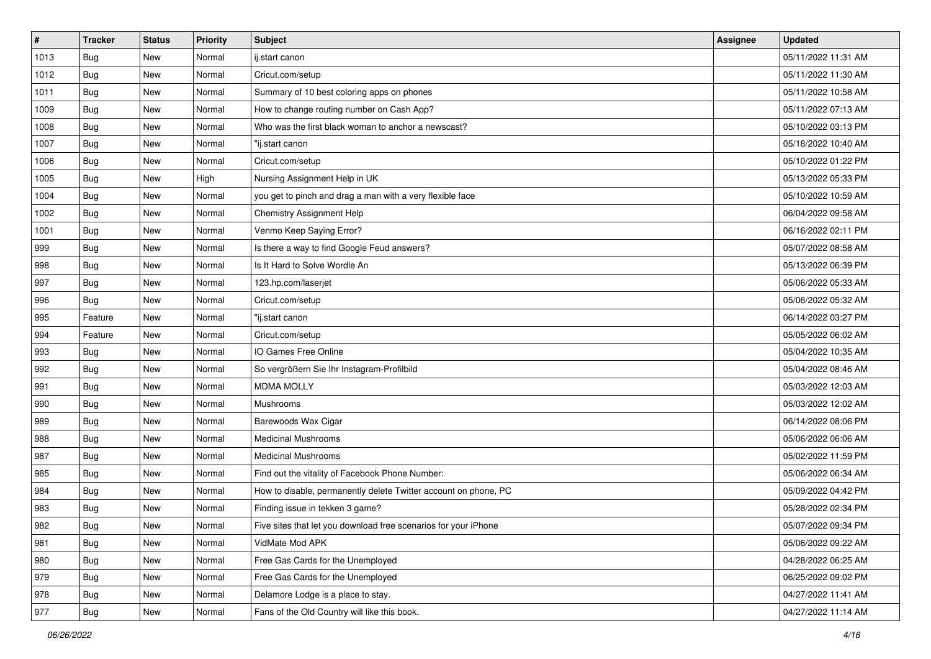| #    | <b>Tracker</b> | <b>Status</b> | <b>Priority</b> | Subject                                                         | <b>Assignee</b> | <b>Updated</b>      |
|------|----------------|---------------|-----------------|-----------------------------------------------------------------|-----------------|---------------------|
| 1013 | <b>Bug</b>     | New           | Normal          | ij.start canon                                                  |                 | 05/11/2022 11:31 AM |
| 1012 | Bug            | New           | Normal          | Cricut.com/setup                                                |                 | 05/11/2022 11:30 AM |
| 1011 | Bug            | New           | Normal          | Summary of 10 best coloring apps on phones                      |                 | 05/11/2022 10:58 AM |
| 1009 | Bug            | New           | Normal          | How to change routing number on Cash App?                       |                 | 05/11/2022 07:13 AM |
| 1008 | <b>Bug</b>     | New           | Normal          | Who was the first black woman to anchor a newscast?             |                 | 05/10/2022 03:13 PM |
| 1007 | <b>Bug</b>     | New           | Normal          | "ij.start canon                                                 |                 | 05/18/2022 10:40 AM |
| 1006 | <b>Bug</b>     | New           | Normal          | Cricut.com/setup                                                |                 | 05/10/2022 01:22 PM |
| 1005 | Bug            | New           | High            | Nursing Assignment Help in UK                                   |                 | 05/13/2022 05:33 PM |
| 1004 | <b>Bug</b>     | New           | Normal          | you get to pinch and drag a man with a very flexible face       |                 | 05/10/2022 10:59 AM |
| 1002 | Bug            | New           | Normal          | Chemistry Assignment Help                                       |                 | 06/04/2022 09:58 AM |
| 1001 | Bug            | New           | Normal          | Venmo Keep Saying Error?                                        |                 | 06/16/2022 02:11 PM |
| 999  | <b>Bug</b>     | New           | Normal          | Is there a way to find Google Feud answers?                     |                 | 05/07/2022 08:58 AM |
| 998  | Bug            | New           | Normal          | Is It Hard to Solve Wordle An                                   |                 | 05/13/2022 06:39 PM |
| 997  | <b>Bug</b>     | New           | Normal          | 123.hp.com/laserjet                                             |                 | 05/06/2022 05:33 AM |
| 996  | <b>Bug</b>     | New           | Normal          | Cricut.com/setup                                                |                 | 05/06/2022 05:32 AM |
| 995  | Feature        | New           | Normal          | "ij.start canon                                                 |                 | 06/14/2022 03:27 PM |
| 994  | Feature        | New           | Normal          | Cricut.com/setup                                                |                 | 05/05/2022 06:02 AM |
| 993  | <b>Bug</b>     | New           | Normal          | IO Games Free Online                                            |                 | 05/04/2022 10:35 AM |
| 992  | <b>Bug</b>     | New           | Normal          | So vergrößern Sie Ihr Instagram-Profilbild                      |                 | 05/04/2022 08:46 AM |
| 991  | Bug            | New           | Normal          | <b>MDMA MOLLY</b>                                               |                 | 05/03/2022 12:03 AM |
| 990  | <b>Bug</b>     | New           | Normal          | Mushrooms                                                       |                 | 05/03/2022 12:02 AM |
| 989  | <b>Bug</b>     | New           | Normal          | Barewoods Wax Cigar                                             |                 | 06/14/2022 08:06 PM |
| 988  | Bug            | New           | Normal          | <b>Medicinal Mushrooms</b>                                      |                 | 05/06/2022 06:06 AM |
| 987  | <b>Bug</b>     | New           | Normal          | <b>Medicinal Mushrooms</b>                                      |                 | 05/02/2022 11:59 PM |
| 985  | <b>Bug</b>     | New           | Normal          | Find out the vitality of Facebook Phone Number:                 |                 | 05/06/2022 06:34 AM |
| 984  | <b>Bug</b>     | New           | Normal          | How to disable, permanently delete Twitter account on phone, PC |                 | 05/09/2022 04:42 PM |
| 983  | <b>Bug</b>     | New           | Normal          | Finding issue in tekken 3 game?                                 |                 | 05/28/2022 02:34 PM |
| 982  | <b>Bug</b>     | New           | Normal          | Five sites that let you download free scenarios for your iPhone |                 | 05/07/2022 09:34 PM |
| 981  | Bug            | New           | Normal          | VidMate Mod APK                                                 |                 | 05/06/2022 09:22 AM |
| 980  | <b>Bug</b>     | New           | Normal          | Free Gas Cards for the Unemployed                               |                 | 04/28/2022 06:25 AM |
| 979  | Bug            | New           | Normal          | Free Gas Cards for the Unemployed                               |                 | 06/25/2022 09:02 PM |
| 978  | Bug            | New           | Normal          | Delamore Lodge is a place to stay.                              |                 | 04/27/2022 11:41 AM |
| 977  | Bug            | New           | Normal          | Fans of the Old Country will like this book.                    |                 | 04/27/2022 11:14 AM |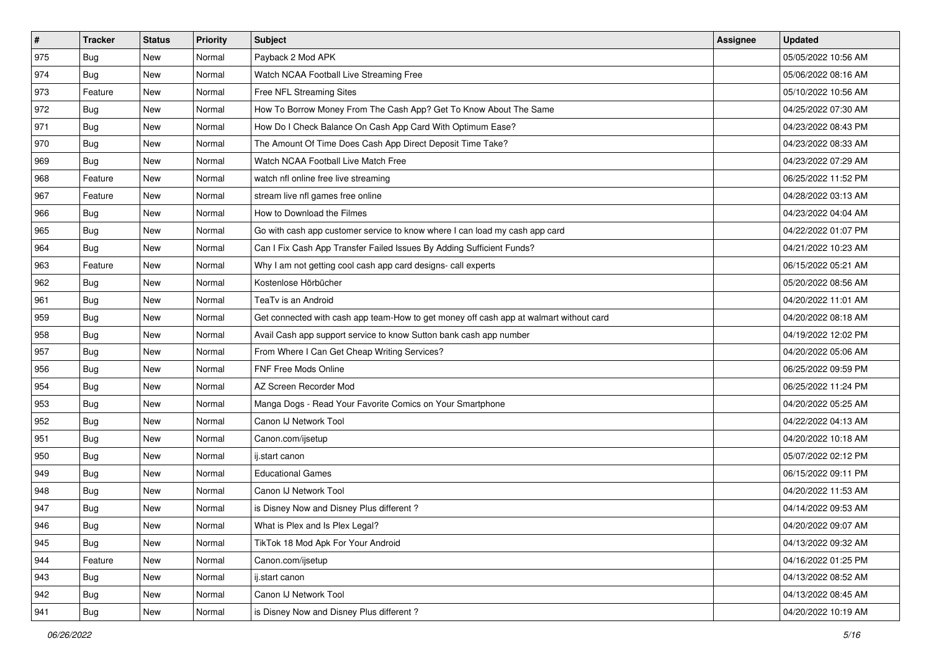| $\sharp$ | <b>Tracker</b> | <b>Status</b> | <b>Priority</b> | Subject                                                                                | <b>Assignee</b> | <b>Updated</b>      |
|----------|----------------|---------------|-----------------|----------------------------------------------------------------------------------------|-----------------|---------------------|
| 975      | Bug            | New           | Normal          | Payback 2 Mod APK                                                                      |                 | 05/05/2022 10:56 AM |
| 974      | <b>Bug</b>     | New           | Normal          | Watch NCAA Football Live Streaming Free                                                |                 | 05/06/2022 08:16 AM |
| 973      | Feature        | New           | Normal          | Free NFL Streaming Sites                                                               |                 | 05/10/2022 10:56 AM |
| 972      | <b>Bug</b>     | New           | Normal          | How To Borrow Money From The Cash App? Get To Know About The Same                      |                 | 04/25/2022 07:30 AM |
| 971      | Bug            | New           | Normal          | How Do I Check Balance On Cash App Card With Optimum Ease?                             |                 | 04/23/2022 08:43 PM |
| 970      | <b>Bug</b>     | New           | Normal          | The Amount Of Time Does Cash App Direct Deposit Time Take?                             |                 | 04/23/2022 08:33 AM |
| 969      | Bug            | New           | Normal          | Watch NCAA Football Live Match Free                                                    |                 | 04/23/2022 07:29 AM |
| 968      | Feature        | New           | Normal          | watch nfl online free live streaming                                                   |                 | 06/25/2022 11:52 PM |
| 967      | Feature        | New           | Normal          | stream live nfl games free online                                                      |                 | 04/28/2022 03:13 AM |
| 966      | Bug            | New           | Normal          | How to Download the Filmes                                                             |                 | 04/23/2022 04:04 AM |
| 965      | <b>Bug</b>     | New           | Normal          | Go with cash app customer service to know where I can load my cash app card            |                 | 04/22/2022 01:07 PM |
| 964      | Bug            | New           | Normal          | Can I Fix Cash App Transfer Failed Issues By Adding Sufficient Funds?                  |                 | 04/21/2022 10:23 AM |
| 963      | Feature        | New           | Normal          | Why I am not getting cool cash app card designs- call experts                          |                 | 06/15/2022 05:21 AM |
| 962      | Bug            | New           | Normal          | Kostenlose Hörbücher                                                                   |                 | 05/20/2022 08:56 AM |
| 961      | <b>Bug</b>     | New           | Normal          | TeaTv is an Android                                                                    |                 | 04/20/2022 11:01 AM |
| 959      | Bug            | New           | Normal          | Get connected with cash app team-How to get money off cash app at walmart without card |                 | 04/20/2022 08:18 AM |
| 958      | Bug            | New           | Normal          | Avail Cash app support service to know Sutton bank cash app number                     |                 | 04/19/2022 12:02 PM |
| 957      | Bug            | <b>New</b>    | Normal          | From Where I Can Get Cheap Writing Services?                                           |                 | 04/20/2022 05:06 AM |
| 956      | Bug            | New           | Normal          | <b>FNF Free Mods Online</b>                                                            |                 | 06/25/2022 09:59 PM |
| 954      | Bug            | New           | Normal          | AZ Screen Recorder Mod                                                                 |                 | 06/25/2022 11:24 PM |
| 953      | <b>Bug</b>     | New           | Normal          | Manga Dogs - Read Your Favorite Comics on Your Smartphone                              |                 | 04/20/2022 05:25 AM |
| 952      | Bug            | New           | Normal          | Canon IJ Network Tool                                                                  |                 | 04/22/2022 04:13 AM |
| 951      | Bug            | New           | Normal          | Canon.com/ijsetup                                                                      |                 | 04/20/2022 10:18 AM |
| 950      | <b>Bug</b>     | New           | Normal          | ij.start canon                                                                         |                 | 05/07/2022 02:12 PM |
| 949      | Bug            | New           | Normal          | <b>Educational Games</b>                                                               |                 | 06/15/2022 09:11 PM |
| 948      | Bug            | New           | Normal          | Canon IJ Network Tool                                                                  |                 | 04/20/2022 11:53 AM |
| 947      | <b>Bug</b>     | New           | Normal          | is Disney Now and Disney Plus different?                                               |                 | 04/14/2022 09:53 AM |
| 946      | I Bug          | New           | Normal          | What is Plex and Is Plex Legal?                                                        |                 | 04/20/2022 09:07 AM |
| 945      | Bug            | New           | Normal          | TikTok 18 Mod Apk For Your Android                                                     |                 | 04/13/2022 09:32 AM |
| 944      | Feature        | New           | Normal          | Canon.com/ijsetup                                                                      |                 | 04/16/2022 01:25 PM |
| 943      | Bug            | New           | Normal          | ij.start canon                                                                         |                 | 04/13/2022 08:52 AM |
| 942      | Bug            | New           | Normal          | Canon IJ Network Tool                                                                  |                 | 04/13/2022 08:45 AM |
| 941      | <b>Bug</b>     | New           | Normal          | is Disney Now and Disney Plus different?                                               |                 | 04/20/2022 10:19 AM |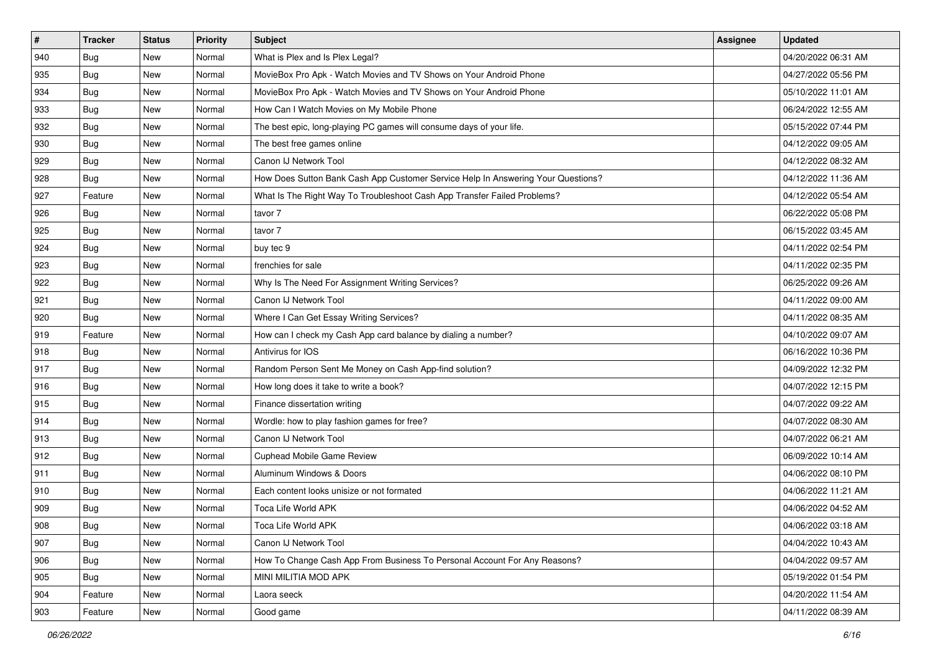| #             | <b>Tracker</b> | <b>Status</b> | <b>Priority</b> | Subject                                                                          | <b>Assignee</b> | <b>Updated</b>      |
|---------------|----------------|---------------|-----------------|----------------------------------------------------------------------------------|-----------------|---------------------|
| $ 940\rangle$ | <b>Bug</b>     | New           | Normal          | What is Plex and Is Plex Legal?                                                  |                 | 04/20/2022 06:31 AM |
| 935           | Bug            | New           | Normal          | MovieBox Pro Apk - Watch Movies and TV Shows on Your Android Phone               |                 | 04/27/2022 05:56 PM |
| 934           | <b>Bug</b>     | New           | Normal          | MovieBox Pro Apk - Watch Movies and TV Shows on Your Android Phone               |                 | 05/10/2022 11:01 AM |
| 933           | <b>Bug</b>     | New           | Normal          | How Can I Watch Movies on My Mobile Phone                                        |                 | 06/24/2022 12:55 AM |
| 932           | Bug            | New           | Normal          | The best epic, long-playing PC games will consume days of your life.             |                 | 05/15/2022 07:44 PM |
| 930           | <b>Bug</b>     | New           | Normal          | The best free games online                                                       |                 | 04/12/2022 09:05 AM |
| 929           | <b>Bug</b>     | New           | Normal          | Canon IJ Network Tool                                                            |                 | 04/12/2022 08:32 AM |
| 928           | Bug            | New           | Normal          | How Does Sutton Bank Cash App Customer Service Help In Answering Your Questions? |                 | 04/12/2022 11:36 AM |
| 927           | Feature        | New           | Normal          | What Is The Right Way To Troubleshoot Cash App Transfer Failed Problems?         |                 | 04/12/2022 05:54 AM |
| 926           | <b>Bug</b>     | New           | Normal          | tavor 7                                                                          |                 | 06/22/2022 05:08 PM |
| 925           | Bug            | New           | Normal          | tavor 7                                                                          |                 | 06/15/2022 03:45 AM |
| 924           | Bug            | New           | Normal          | buy tec 9                                                                        |                 | 04/11/2022 02:54 PM |
| 923           | Bug            | New           | Normal          | frenchies for sale                                                               |                 | 04/11/2022 02:35 PM |
| 922           | <b>Bug</b>     | New           | Normal          | Why Is The Need For Assignment Writing Services?                                 |                 | 06/25/2022 09:26 AM |
| 921           | <b>Bug</b>     | New           | Normal          | Canon IJ Network Tool                                                            |                 | 04/11/2022 09:00 AM |
| 920           | <b>Bug</b>     | New           | Normal          | Where I Can Get Essay Writing Services?                                          |                 | 04/11/2022 08:35 AM |
| 919           | Feature        | New           | Normal          | How can I check my Cash App card balance by dialing a number?                    |                 | 04/10/2022 09:07 AM |
| 918           | Bug            | New           | Normal          | Antivirus for IOS                                                                |                 | 06/16/2022 10:36 PM |
| 917           | <b>Bug</b>     | New           | Normal          | Random Person Sent Me Money on Cash App-find solution?                           |                 | 04/09/2022 12:32 PM |
| 916           | <b>Bug</b>     | New           | Normal          | How long does it take to write a book?                                           |                 | 04/07/2022 12:15 PM |
| 915           | Bug            | New           | Normal          | Finance dissertation writing                                                     |                 | 04/07/2022 09:22 AM |
| 914           | <b>Bug</b>     | New           | Normal          | Wordle: how to play fashion games for free?                                      |                 | 04/07/2022 08:30 AM |
| 913           | Bug            | New           | Normal          | Canon IJ Network Tool                                                            |                 | 04/07/2022 06:21 AM |
| 912           | <b>Bug</b>     | New           | Normal          | <b>Cuphead Mobile Game Review</b>                                                |                 | 06/09/2022 10:14 AM |
| 911           | Bug            | New           | Normal          | Aluminum Windows & Doors                                                         |                 | 04/06/2022 08:10 PM |
| 910           | <b>Bug</b>     | New           | Normal          | Each content looks unisize or not formated                                       |                 | 04/06/2022 11:21 AM |
| 909           | Bug            | New           | Normal          | Toca Life World APK                                                              |                 | 04/06/2022 04:52 AM |
| 908           | Bug            | New           | Normal          | Toca Life World APK                                                              |                 | 04/06/2022 03:18 AM |
| $ 907\rangle$ | Bug            | New           | Normal          | Canon IJ Network Tool                                                            |                 | 04/04/2022 10:43 AM |
| 906           | <b>Bug</b>     | New           | Normal          | How To Change Cash App From Business To Personal Account For Any Reasons?        |                 | 04/04/2022 09:57 AM |
| 905           | Bug            | New           | Normal          | MINI MILITIA MOD APK                                                             |                 | 05/19/2022 01:54 PM |
| 904           | Feature        | New           | Normal          | Laora seeck                                                                      |                 | 04/20/2022 11:54 AM |
| $ 903\rangle$ | Feature        | New           | Normal          | Good game                                                                        |                 | 04/11/2022 08:39 AM |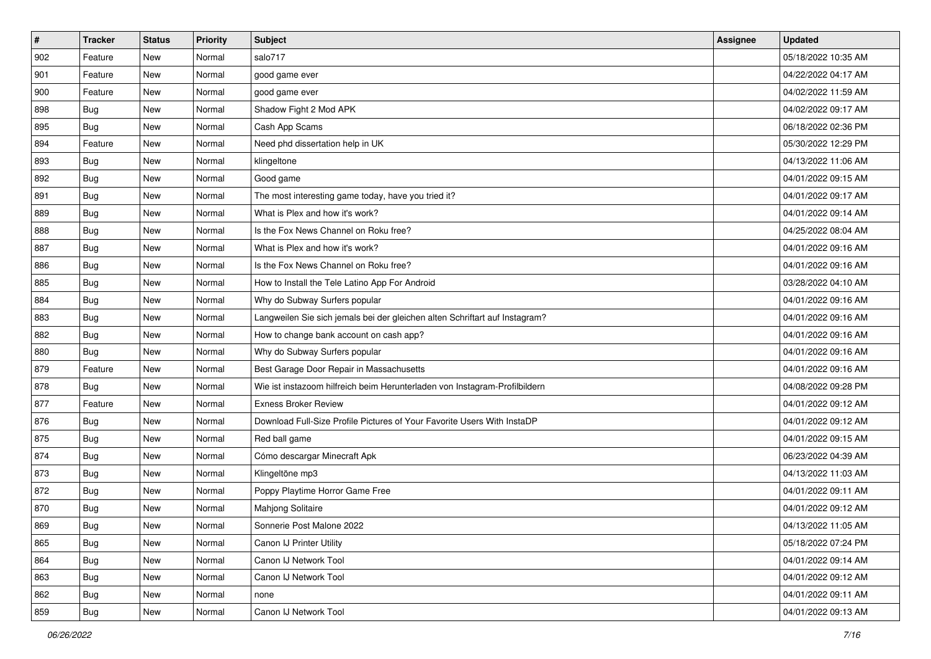| $\pmb{\#}$ | <b>Tracker</b> | <b>Status</b> | <b>Priority</b> | Subject                                                                     | <b>Assignee</b> | <b>Updated</b>      |
|------------|----------------|---------------|-----------------|-----------------------------------------------------------------------------|-----------------|---------------------|
| 902        | Feature        | New           | Normal          | salo717                                                                     |                 | 05/18/2022 10:35 AM |
| 901        | Feature        | <b>New</b>    | Normal          | good game ever                                                              |                 | 04/22/2022 04:17 AM |
| 900        | Feature        | New           | Normal          | good game ever                                                              |                 | 04/02/2022 11:59 AM |
| 898        | <b>Bug</b>     | New           | Normal          | Shadow Fight 2 Mod APK                                                      |                 | 04/02/2022 09:17 AM |
| 895        | Bug            | New           | Normal          | Cash App Scams                                                              |                 | 06/18/2022 02:36 PM |
| 894        | Feature        | New           | Normal          | Need phd dissertation help in UK                                            |                 | 05/30/2022 12:29 PM |
| 893        | Bug            | New           | Normal          | klingeltone                                                                 |                 | 04/13/2022 11:06 AM |
| 892        | Bug            | New           | Normal          | Good game                                                                   |                 | 04/01/2022 09:15 AM |
| 891        | <b>Bug</b>     | New           | Normal          | The most interesting game today, have you tried it?                         |                 | 04/01/2022 09:17 AM |
| 889        | Bug            | <b>New</b>    | Normal          | What is Plex and how it's work?                                             |                 | 04/01/2022 09:14 AM |
| 888        | Bug            | New           | Normal          | Is the Fox News Channel on Roku free?                                       |                 | 04/25/2022 08:04 AM |
| 887        | <b>Bug</b>     | New           | Normal          | What is Plex and how it's work?                                             |                 | 04/01/2022 09:16 AM |
| 886        | Bug            | New           | Normal          | Is the Fox News Channel on Roku free?                                       |                 | 04/01/2022 09:16 AM |
| 885        | Bug            | New           | Normal          | How to Install the Tele Latino App For Android                              |                 | 03/28/2022 04:10 AM |
| 884        | Bug            | <b>New</b>    | Normal          | Why do Subway Surfers popular                                               |                 | 04/01/2022 09:16 AM |
| 883        | Bug            | New           | Normal          | Langweilen Sie sich jemals bei der gleichen alten Schriftart auf Instagram? |                 | 04/01/2022 09:16 AM |
| 882        | <b>Bug</b>     | New           | Normal          | How to change bank account on cash app?                                     |                 | 04/01/2022 09:16 AM |
| 880        | Bug            | New           | Normal          | Why do Subway Surfers popular                                               |                 | 04/01/2022 09:16 AM |
| 879        | Feature        | New           | Normal          | Best Garage Door Repair in Massachusetts                                    |                 | 04/01/2022 09:16 AM |
| 878        | Bug            | <b>New</b>    | Normal          | Wie ist instazoom hilfreich beim Herunterladen von Instagram-Profilbildern  |                 | 04/08/2022 09:28 PM |
| 877        | Feature        | New           | Normal          | <b>Exness Broker Review</b>                                                 |                 | 04/01/2022 09:12 AM |
| 876        | <b>Bug</b>     | New           | Normal          | Download Full-Size Profile Pictures of Your Favorite Users With InstaDP     |                 | 04/01/2022 09:12 AM |
| 875        | Bug            | New           | Normal          | Red ball game                                                               |                 | 04/01/2022 09:15 AM |
| 874        | Bug            | New           | Normal          | Cómo descargar Minecraft Apk                                                |                 | 06/23/2022 04:39 AM |
| 873        | <b>Bug</b>     | New           | Normal          | Klingeltöne mp3                                                             |                 | 04/13/2022 11:03 AM |
| 872        | <b>Bug</b>     | New           | Normal          | Poppy Playtime Horror Game Free                                             |                 | 04/01/2022 09:11 AM |
| 870        | Bug            | New           | Normal          | <b>Mahjong Solitaire</b>                                                    |                 | 04/01/2022 09:12 AM |
| 869        | i Bug          | New           | Normal          | Sonnerie Post Malone 2022                                                   |                 | 04/13/2022 11:05 AM |
| 865        | Bug            | New           | Normal          | Canon IJ Printer Utility                                                    |                 | 05/18/2022 07:24 PM |
| 864        | Bug            | New           | Normal          | Canon IJ Network Tool                                                       |                 | 04/01/2022 09:14 AM |
| 863        | Bug            | New           | Normal          | Canon IJ Network Tool                                                       |                 | 04/01/2022 09:12 AM |
| 862        | Bug            | New           | Normal          | none                                                                        |                 | 04/01/2022 09:11 AM |
| 859        | <b>Bug</b>     | New           | Normal          | Canon IJ Network Tool                                                       |                 | 04/01/2022 09:13 AM |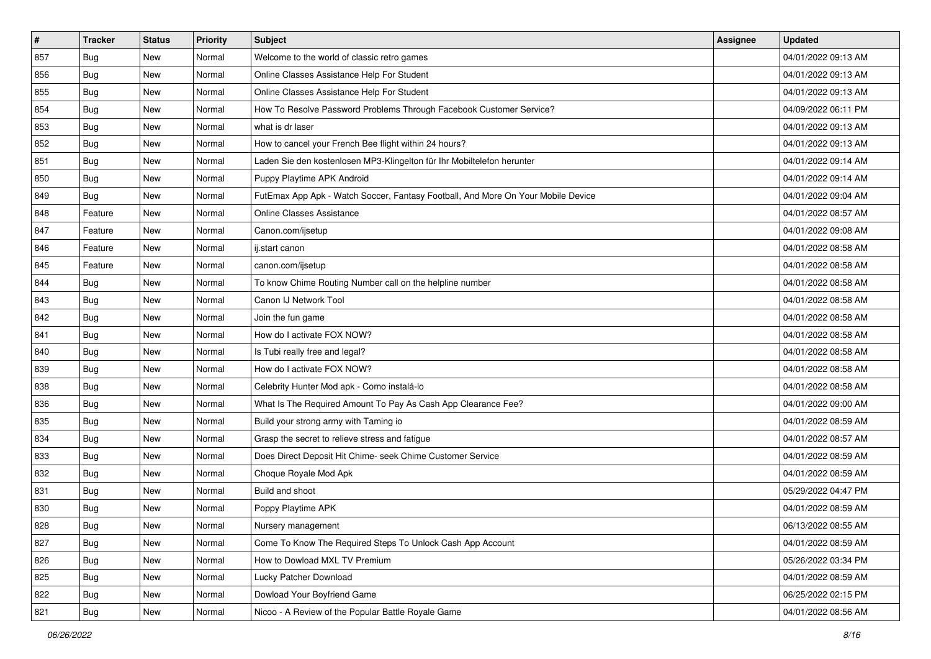| $\vert$ # | <b>Tracker</b> | <b>Status</b> | <b>Priority</b> | Subject                                                                          | <b>Assignee</b> | <b>Updated</b>      |
|-----------|----------------|---------------|-----------------|----------------------------------------------------------------------------------|-----------------|---------------------|
| 857       | <b>Bug</b>     | New           | Normal          | Welcome to the world of classic retro games                                      |                 | 04/01/2022 09:13 AM |
| 856       | Bug            | New           | Normal          | Online Classes Assistance Help For Student                                       |                 | 04/01/2022 09:13 AM |
| 855       | Bug            | New           | Normal          | Online Classes Assistance Help For Student                                       |                 | 04/01/2022 09:13 AM |
| 854       | <b>Bug</b>     | New           | Normal          | How To Resolve Password Problems Through Facebook Customer Service?              |                 | 04/09/2022 06:11 PM |
| 853       | <b>Bug</b>     | New           | Normal          | what is dr laser                                                                 |                 | 04/01/2022 09:13 AM |
| 852       | <b>Bug</b>     | New           | Normal          | How to cancel your French Bee flight within 24 hours?                            |                 | 04/01/2022 09:13 AM |
| 851       | Bug            | New           | Normal          | Laden Sie den kostenlosen MP3-Klingelton für Ihr Mobiltelefon herunter           |                 | 04/01/2022 09:14 AM |
| 850       | <b>Bug</b>     | New           | Normal          | Puppy Playtime APK Android                                                       |                 | 04/01/2022 09:14 AM |
| 849       | Bug            | New           | Normal          | FutEmax App Apk - Watch Soccer, Fantasy Football, And More On Your Mobile Device |                 | 04/01/2022 09:04 AM |
| 848       | Feature        | New           | Normal          | <b>Online Classes Assistance</b>                                                 |                 | 04/01/2022 08:57 AM |
| 847       | Feature        | New           | Normal          | Canon.com/ijsetup                                                                |                 | 04/01/2022 09:08 AM |
| 846       | Feature        | New           | Normal          | ij.start canon                                                                   |                 | 04/01/2022 08:58 AM |
| 845       | Feature        | New           | Normal          | canon.com/ijsetup                                                                |                 | 04/01/2022 08:58 AM |
| 844       | <b>Bug</b>     | New           | Normal          | To know Chime Routing Number call on the helpline number                         |                 | 04/01/2022 08:58 AM |
| 843       | <b>Bug</b>     | New           | Normal          | Canon IJ Network Tool                                                            |                 | 04/01/2022 08:58 AM |
| 842       | Bug            | New           | Normal          | Join the fun game                                                                |                 | 04/01/2022 08:58 AM |
| 841       | <b>Bug</b>     | New           | Normal          | How do I activate FOX NOW?                                                       |                 | 04/01/2022 08:58 AM |
| 840       | Bug            | New           | Normal          | Is Tubi really free and legal?                                                   |                 | 04/01/2022 08:58 AM |
| 839       | <b>Bug</b>     | New           | Normal          | How do I activate FOX NOW?                                                       |                 | 04/01/2022 08:58 AM |
| 838       | Bug            | New           | Normal          | Celebrity Hunter Mod apk - Como instalá-lo                                       |                 | 04/01/2022 08:58 AM |
| 836       | Bug            | New           | Normal          | What Is The Required Amount To Pay As Cash App Clearance Fee?                    |                 | 04/01/2022 09:00 AM |
| 835       | Bug            | New           | Normal          | Build your strong army with Taming io                                            |                 | 04/01/2022 08:59 AM |
| 834       | Bug            | New           | Normal          | Grasp the secret to relieve stress and fatigue                                   |                 | 04/01/2022 08:57 AM |
| 833       | <b>Bug</b>     | New           | Normal          | Does Direct Deposit Hit Chime- seek Chime Customer Service                       |                 | 04/01/2022 08:59 AM |
| 832       | <b>Bug</b>     | New           | Normal          | Choque Royale Mod Apk                                                            |                 | 04/01/2022 08:59 AM |
| 831       | Bug            | New           | Normal          | Build and shoot                                                                  |                 | 05/29/2022 04:47 PM |
| 830       | Bug            | New           | Normal          | Poppy Playtime APK                                                               |                 | 04/01/2022 08:59 AM |
| 828       | <b>Bug</b>     | New           | Normal          | Nursery management                                                               |                 | 06/13/2022 08:55 AM |
| 827       | Bug            | New           | Normal          | Come To Know The Required Steps To Unlock Cash App Account                       |                 | 04/01/2022 08:59 AM |
| 826       | <b>Bug</b>     | New           | Normal          | How to Dowload MXL TV Premium                                                    |                 | 05/26/2022 03:34 PM |
| 825       | Bug            | New           | Normal          | Lucky Patcher Download                                                           |                 | 04/01/2022 08:59 AM |
| 822       | Bug            | New           | Normal          | Dowload Your Boyfriend Game                                                      |                 | 06/25/2022 02:15 PM |
| 821       | <b>Bug</b>     | New           | Normal          | Nicoo - A Review of the Popular Battle Royale Game                               |                 | 04/01/2022 08:56 AM |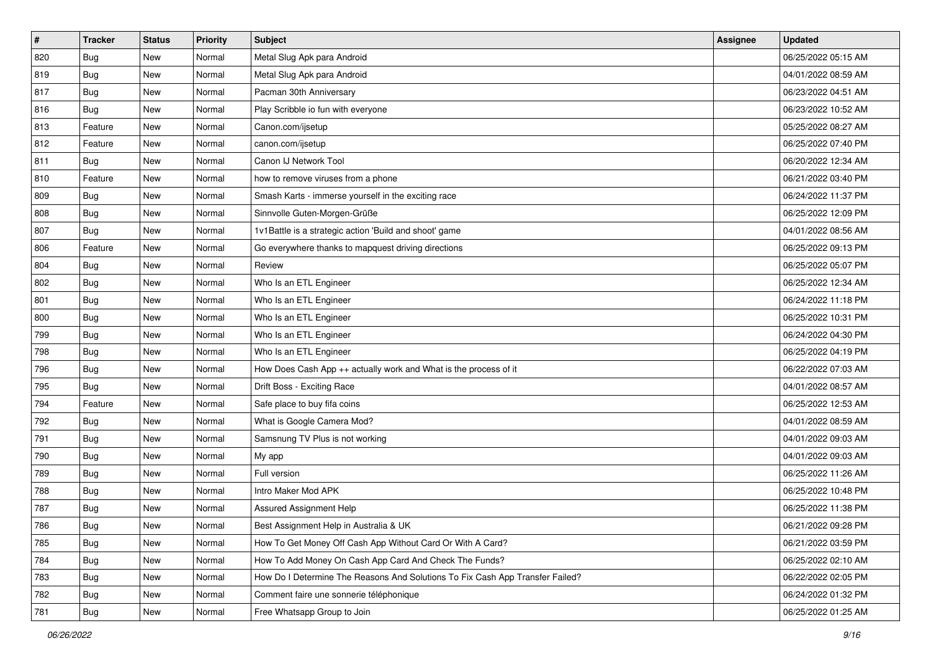| $\sharp$ | <b>Tracker</b> | <b>Status</b> | <b>Priority</b> | Subject                                                                       | Assignee | <b>Updated</b>      |
|----------|----------------|---------------|-----------------|-------------------------------------------------------------------------------|----------|---------------------|
| 820      | <b>Bug</b>     | New           | Normal          | Metal Slug Apk para Android                                                   |          | 06/25/2022 05:15 AM |
| 819      | Bug            | New           | Normal          | Metal Slug Apk para Android                                                   |          | 04/01/2022 08:59 AM |
| 817      | Bug            | New           | Normal          | Pacman 30th Anniversary                                                       |          | 06/23/2022 04:51 AM |
| 816      | <b>Bug</b>     | New           | Normal          | Play Scribble io fun with everyone                                            |          | 06/23/2022 10:52 AM |
| 813      | Feature        | New           | Normal          | Canon.com/ijsetup                                                             |          | 05/25/2022 08:27 AM |
| 812      | Feature        | New           | Normal          | canon.com/ijsetup                                                             |          | 06/25/2022 07:40 PM |
| 811      | Bug            | New           | Normal          | Canon IJ Network Tool                                                         |          | 06/20/2022 12:34 AM |
| 810      | Feature        | New           | Normal          | how to remove viruses from a phone                                            |          | 06/21/2022 03:40 PM |
| 809      | Bug            | New           | Normal          | Smash Karts - immerse yourself in the exciting race                           |          | 06/24/2022 11:37 PM |
| 808      | Bug            | New           | Normal          | Sinnvolle Guten-Morgen-Grüße                                                  |          | 06/25/2022 12:09 PM |
| 807      | <b>Bug</b>     | New           | Normal          | 1v1Battle is a strategic action 'Build and shoot' game                        |          | 04/01/2022 08:56 AM |
| 806      | Feature        | New           | Normal          | Go everywhere thanks to mapquest driving directions                           |          | 06/25/2022 09:13 PM |
| 804      | Bug            | New           | Normal          | Review                                                                        |          | 06/25/2022 05:07 PM |
| 802      | Bug            | New           | Normal          | Who Is an ETL Engineer                                                        |          | 06/25/2022 12:34 AM |
| 801      | Bug            | New           | Normal          | Who Is an ETL Engineer                                                        |          | 06/24/2022 11:18 PM |
| 800      | Bug            | New           | Normal          | Who Is an ETL Engineer                                                        |          | 06/25/2022 10:31 PM |
| 799      | <b>Bug</b>     | New           | Normal          | Who Is an ETL Engineer                                                        |          | 06/24/2022 04:30 PM |
| 798      | Bug            | <b>New</b>    | Normal          | Who Is an ETL Engineer                                                        |          | 06/25/2022 04:19 PM |
| 796      | Bug            | New           | Normal          | How Does Cash App ++ actually work and What is the process of it              |          | 06/22/2022 07:03 AM |
| 795      | Bug            | New           | Normal          | Drift Boss - Exciting Race                                                    |          | 04/01/2022 08:57 AM |
| 794      | Feature        | New           | Normal          | Safe place to buy fifa coins                                                  |          | 06/25/2022 12:53 AM |
| 792      | Bug            | New           | Normal          | What is Google Camera Mod?                                                    |          | 04/01/2022 08:59 AM |
| 791      | Bug            | New           | Normal          | Samsnung TV Plus is not working                                               |          | 04/01/2022 09:03 AM |
| 790      | <b>Bug</b>     | New           | Normal          | My app                                                                        |          | 04/01/2022 09:03 AM |
| 789      | Bug            | New           | Normal          | Full version                                                                  |          | 06/25/2022 11:26 AM |
| 788      | Bug            | New           | Normal          | Intro Maker Mod APK                                                           |          | 06/25/2022 10:48 PM |
| 787      | <b>Bug</b>     | New           | Normal          | <b>Assured Assignment Help</b>                                                |          | 06/25/2022 11:38 PM |
| 786      | <b>Bug</b>     | New           | Normal          | Best Assignment Help in Australia & UK                                        |          | 06/21/2022 09:28 PM |
| 785      | <b>Bug</b>     | New           | Normal          | How To Get Money Off Cash App Without Card Or With A Card?                    |          | 06/21/2022 03:59 PM |
| 784      | <b>Bug</b>     | New           | Normal          | How To Add Money On Cash App Card And Check The Funds?                        |          | 06/25/2022 02:10 AM |
| 783      | <b>Bug</b>     | New           | Normal          | How Do I Determine The Reasons And Solutions To Fix Cash App Transfer Failed? |          | 06/22/2022 02:05 PM |
| 782      | Bug            | New           | Normal          | Comment faire une sonnerie téléphonique                                       |          | 06/24/2022 01:32 PM |
| 781      | <b>Bug</b>     | New           | Normal          | Free Whatsapp Group to Join                                                   |          | 06/25/2022 01:25 AM |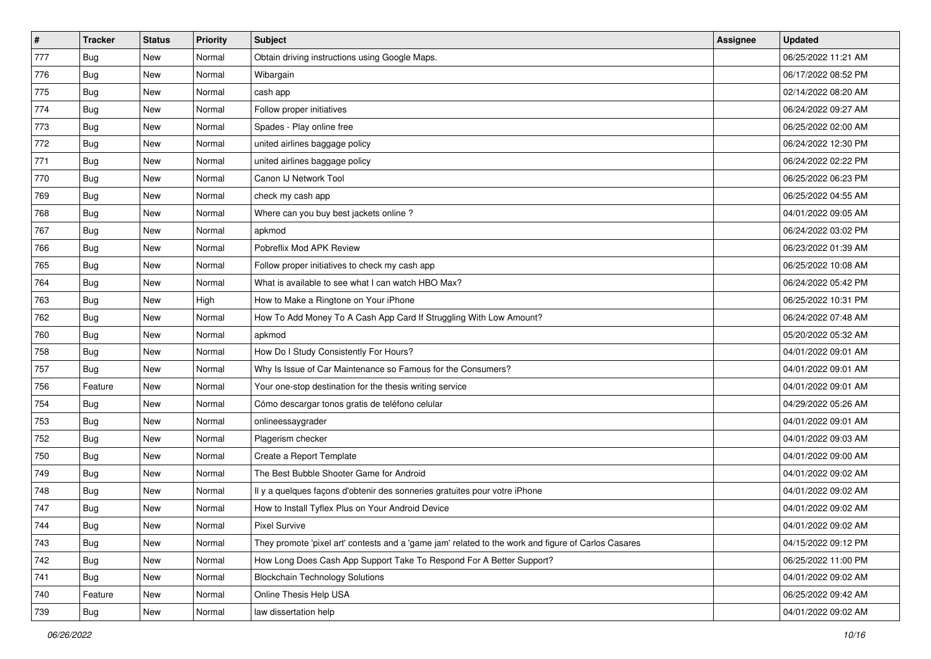| $\vert$ # | <b>Tracker</b> | <b>Status</b> | <b>Priority</b> | <b>Subject</b>                                                                                      | <b>Assignee</b> | <b>Updated</b>      |
|-----------|----------------|---------------|-----------------|-----------------------------------------------------------------------------------------------------|-----------------|---------------------|
| 777       | <b>Bug</b>     | New           | Normal          | Obtain driving instructions using Google Maps.                                                      |                 | 06/25/2022 11:21 AM |
| 776       | <b>Bug</b>     | New           | Normal          | Wibargain                                                                                           |                 | 06/17/2022 08:52 PM |
| 775       | <b>Bug</b>     | New           | Normal          | cash app                                                                                            |                 | 02/14/2022 08:20 AM |
| 774       | <b>Bug</b>     | New           | Normal          | Follow proper initiatives                                                                           |                 | 06/24/2022 09:27 AM |
| 773       | Bug            | New           | Normal          | Spades - Play online free                                                                           |                 | 06/25/2022 02:00 AM |
| 772       | <b>Bug</b>     | New           | Normal          | united airlines baggage policy                                                                      |                 | 06/24/2022 12:30 PM |
| 771       | <b>Bug</b>     | New           | Normal          | united airlines baggage policy                                                                      |                 | 06/24/2022 02:22 PM |
| 770       | <b>Bug</b>     | New           | Normal          | Canon IJ Network Tool                                                                               |                 | 06/25/2022 06:23 PM |
| 769       | <b>Bug</b>     | New           | Normal          | check my cash app                                                                                   |                 | 06/25/2022 04:55 AM |
| 768       | Bug            | New           | Normal          | Where can you buy best jackets online?                                                              |                 | 04/01/2022 09:05 AM |
| 767       | <b>Bug</b>     | New           | Normal          | apkmod                                                                                              |                 | 06/24/2022 03:02 PM |
| 766       | Bug            | New           | Normal          | Pobreflix Mod APK Review                                                                            |                 | 06/23/2022 01:39 AM |
| 765       | <b>Bug</b>     | New           | Normal          | Follow proper initiatives to check my cash app                                                      |                 | 06/25/2022 10:08 AM |
| 764       | <b>Bug</b>     | New           | Normal          | What is available to see what I can watch HBO Max?                                                  |                 | 06/24/2022 05:42 PM |
| 763       | <b>Bug</b>     | New           | High            | How to Make a Ringtone on Your iPhone                                                               |                 | 06/25/2022 10:31 PM |
| 762       | <b>Bug</b>     | New           | Normal          | How To Add Money To A Cash App Card If Struggling With Low Amount?                                  |                 | 06/24/2022 07:48 AM |
| 760       | <b>Bug</b>     | New           | Normal          | apkmod                                                                                              |                 | 05/20/2022 05:32 AM |
| 758       | <b>Bug</b>     | New           | Normal          | How Do I Study Consistently For Hours?                                                              |                 | 04/01/2022 09:01 AM |
| 757       | Bug            | New           | Normal          | Why Is Issue of Car Maintenance so Famous for the Consumers?                                        |                 | 04/01/2022 09:01 AM |
| 756       | Feature        | New           | Normal          | Your one-stop destination for the thesis writing service                                            |                 | 04/01/2022 09:01 AM |
| 754       | <b>Bug</b>     | New           | Normal          | Cómo descargar tonos gratis de teléfono celular                                                     |                 | 04/29/2022 05:26 AM |
| 753       | <b>Bug</b>     | New           | Normal          | onlineessaygrader                                                                                   |                 | 04/01/2022 09:01 AM |
| 752       | Bug            | New           | Normal          | Plagerism checker                                                                                   |                 | 04/01/2022 09:03 AM |
| 750       | <b>Bug</b>     | New           | Normal          | Create a Report Template                                                                            |                 | 04/01/2022 09:00 AM |
| 749       | Bug            | New           | Normal          | The Best Bubble Shooter Game for Android                                                            |                 | 04/01/2022 09:02 AM |
| 748       | Bug            | New           | Normal          | Il y a quelques façons d'obtenir des sonneries gratuites pour votre iPhone                          |                 | 04/01/2022 09:02 AM |
| 747       | <b>Bug</b>     | New           | Normal          | How to Install Tyflex Plus on Your Android Device                                                   |                 | 04/01/2022 09:02 AM |
| 744       | Bug            | New           | Normal          | Pixel Survive                                                                                       |                 | 04/01/2022 09:02 AM |
| 743       | <b>Bug</b>     | New           | Normal          | They promote 'pixel art' contests and a 'game jam' related to the work and figure of Carlos Casares |                 | 04/15/2022 09:12 PM |
| 742       | Bug            | New           | Normal          | How Long Does Cash App Support Take To Respond For A Better Support?                                |                 | 06/25/2022 11:00 PM |
| 741       | <b>Bug</b>     | New           | Normal          | <b>Blockchain Technology Solutions</b>                                                              |                 | 04/01/2022 09:02 AM |
| 740       | Feature        | New           | Normal          | Online Thesis Help USA                                                                              |                 | 06/25/2022 09:42 AM |
| 739       | Bug            | New           | Normal          | law dissertation help                                                                               |                 | 04/01/2022 09:02 AM |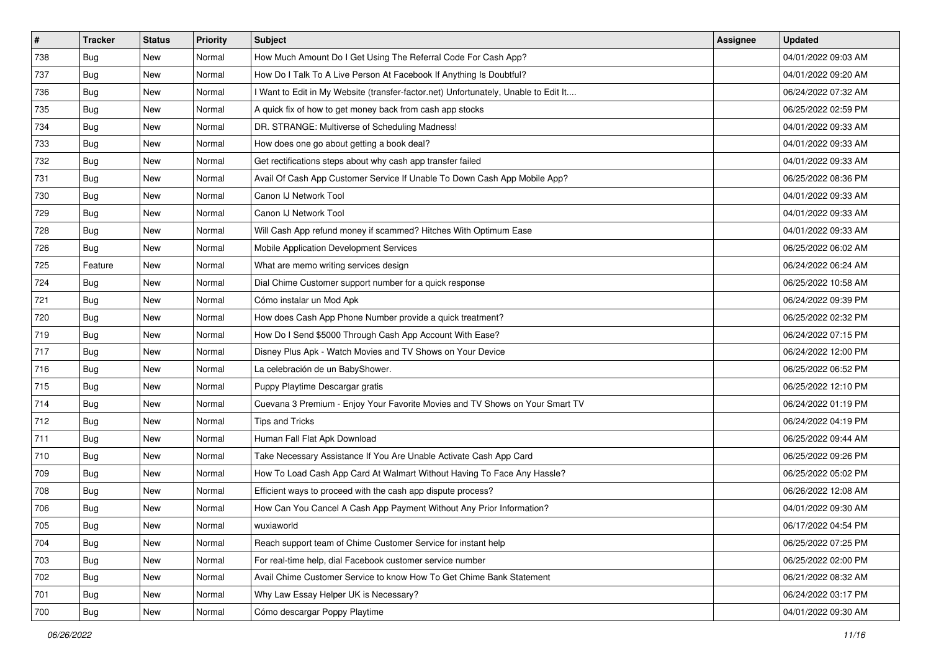| $\vert$ # | <b>Tracker</b> | <b>Status</b> | Priority | <b>Subject</b>                                                                      | <b>Assignee</b> | <b>Updated</b>      |
|-----------|----------------|---------------|----------|-------------------------------------------------------------------------------------|-----------------|---------------------|
| 738       | <b>Bug</b>     | New           | Normal   | How Much Amount Do I Get Using The Referral Code For Cash App?                      |                 | 04/01/2022 09:03 AM |
| 737       | <b>Bug</b>     | New           | Normal   | How Do I Talk To A Live Person At Facebook If Anything Is Doubtful?                 |                 | 04/01/2022 09:20 AM |
| 736       | <b>Bug</b>     | New           | Normal   | I Want to Edit in My Website (transfer-factor.net) Unfortunately, Unable to Edit It |                 | 06/24/2022 07:32 AM |
| 735       | <b>Bug</b>     | New           | Normal   | A quick fix of how to get money back from cash app stocks                           |                 | 06/25/2022 02:59 PM |
| 734       | Bug            | New           | Normal   | DR. STRANGE: Multiverse of Scheduling Madness!                                      |                 | 04/01/2022 09:33 AM |
| 733       | <b>Bug</b>     | New           | Normal   | How does one go about getting a book deal?                                          |                 | 04/01/2022 09:33 AM |
| 732       | <b>Bug</b>     | New           | Normal   | Get rectifications steps about why cash app transfer failed                         |                 | 04/01/2022 09:33 AM |
| 731       | <b>Bug</b>     | New           | Normal   | Avail Of Cash App Customer Service If Unable To Down Cash App Mobile App?           |                 | 06/25/2022 08:36 PM |
| 730       | <b>Bug</b>     | New           | Normal   | Canon IJ Network Tool                                                               |                 | 04/01/2022 09:33 AM |
| 729       | Bug            | New           | Normal   | Canon IJ Network Tool                                                               |                 | 04/01/2022 09:33 AM |
| 728       | <b>Bug</b>     | New           | Normal   | Will Cash App refund money if scammed? Hitches With Optimum Ease                    |                 | 04/01/2022 09:33 AM |
| 726       | <b>Bug</b>     | New           | Normal   | Mobile Application Development Services                                             |                 | 06/25/2022 06:02 AM |
| 725       | Feature        | New           | Normal   | What are memo writing services design                                               |                 | 06/24/2022 06:24 AM |
| 724       | <b>Bug</b>     | New           | Normal   | Dial Chime Customer support number for a quick response                             |                 | 06/25/2022 10:58 AM |
| 721       | <b>Bug</b>     | New           | Normal   | Cómo instalar un Mod Apk                                                            |                 | 06/24/2022 09:39 PM |
| 720       | <b>Bug</b>     | New           | Normal   | How does Cash App Phone Number provide a quick treatment?                           |                 | 06/25/2022 02:32 PM |
| 719       | <b>Bug</b>     | New           | Normal   | How Do I Send \$5000 Through Cash App Account With Ease?                            |                 | 06/24/2022 07:15 PM |
| 717       | <b>Bug</b>     | New           | Normal   | Disney Plus Apk - Watch Movies and TV Shows on Your Device                          |                 | 06/24/2022 12:00 PM |
| 716       | <b>Bug</b>     | New           | Normal   | La celebración de un BabyShower.                                                    |                 | 06/25/2022 06:52 PM |
| 715       | <b>Bug</b>     | New           | Normal   | Puppy Playtime Descargar gratis                                                     |                 | 06/25/2022 12:10 PM |
| 714       | <b>Bug</b>     | New           | Normal   | Cuevana 3 Premium - Enjoy Your Favorite Movies and TV Shows on Your Smart TV        |                 | 06/24/2022 01:19 PM |
| 712       | <b>Bug</b>     | New           | Normal   | <b>Tips and Tricks</b>                                                              |                 | 06/24/2022 04:19 PM |
| 711       | Bug            | New           | Normal   | Human Fall Flat Apk Download                                                        |                 | 06/25/2022 09:44 AM |
| 710       | <b>Bug</b>     | New           | Normal   | Take Necessary Assistance If You Are Unable Activate Cash App Card                  |                 | 06/25/2022 09:26 PM |
| 709       | Bug            | New           | Normal   | How To Load Cash App Card At Walmart Without Having To Face Any Hassle?             |                 | 06/25/2022 05:02 PM |
| 708       | Bug            | New           | Normal   | Efficient ways to proceed with the cash app dispute process?                        |                 | 06/26/2022 12:08 AM |
| 706       | <b>Bug</b>     | New           | Normal   | How Can You Cancel A Cash App Payment Without Any Prior Information?                |                 | 04/01/2022 09:30 AM |
| 705       | I Bug          | New           | Normal   | wuxiaworld                                                                          |                 | 06/17/2022 04:54 PM |
| 704       | Bug            | New           | Normal   | Reach support team of Chime Customer Service for instant help                       |                 | 06/25/2022 07:25 PM |
| 703       | <b>Bug</b>     | New           | Normal   | For real-time help, dial Facebook customer service number                           |                 | 06/25/2022 02:00 PM |
| 702       | <b>Bug</b>     | New           | Normal   | Avail Chime Customer Service to know How To Get Chime Bank Statement                |                 | 06/21/2022 08:32 AM |
| 701       | <b>Bug</b>     | New           | Normal   | Why Law Essay Helper UK is Necessary?                                               |                 | 06/24/2022 03:17 PM |
| 700       | Bug            | New           | Normal   | Cómo descargar Poppy Playtime                                                       |                 | 04/01/2022 09:30 AM |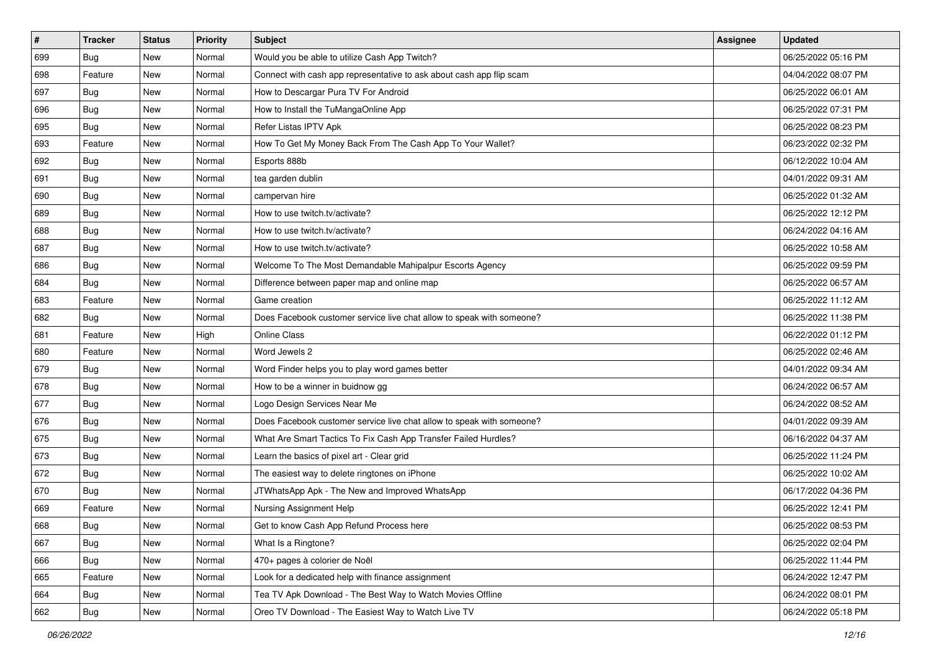| $\sharp$ | <b>Tracker</b> | <b>Status</b> | <b>Priority</b> | Subject                                                               | <b>Assignee</b> | <b>Updated</b>      |
|----------|----------------|---------------|-----------------|-----------------------------------------------------------------------|-----------------|---------------------|
| 699      | <b>Bug</b>     | New           | Normal          | Would you be able to utilize Cash App Twitch?                         |                 | 06/25/2022 05:16 PM |
| 698      | Feature        | New           | Normal          | Connect with cash app representative to ask about cash app flip scam  |                 | 04/04/2022 08:07 PM |
| 697      | Bug            | New           | Normal          | How to Descargar Pura TV For Android                                  |                 | 06/25/2022 06:01 AM |
| 696      | Bug            | New           | Normal          | How to Install the TuMangaOnline App                                  |                 | 06/25/2022 07:31 PM |
| 695      | Bug            | New           | Normal          | Refer Listas IPTV Apk                                                 |                 | 06/25/2022 08:23 PM |
| 693      | Feature        | New           | Normal          | How To Get My Money Back From The Cash App To Your Wallet?            |                 | 06/23/2022 02:32 PM |
| 692      | Bug            | New           | Normal          | Esports 888b                                                          |                 | 06/12/2022 10:04 AM |
| 691      | <b>Bug</b>     | New           | Normal          | tea garden dublin                                                     |                 | 04/01/2022 09:31 AM |
| 690      | Bug            | New           | Normal          | campervan hire                                                        |                 | 06/25/2022 01:32 AM |
| 689      | Bug            | New           | Normal          | How to use twitch.tv/activate?                                        |                 | 06/25/2022 12:12 PM |
| 688      | <b>Bug</b>     | New           | Normal          | How to use twitch.tv/activate?                                        |                 | 06/24/2022 04:16 AM |
| 687      | Bug            | New           | Normal          | How to use twitch ty/activate?                                        |                 | 06/25/2022 10:58 AM |
| 686      | Bug            | New           | Normal          | Welcome To The Most Demandable Mahipalpur Escorts Agency              |                 | 06/25/2022 09:59 PM |
| 684      | Bug            | New           | Normal          | Difference between paper map and online map                           |                 | 06/25/2022 06:57 AM |
| 683      | Feature        | New           | Normal          | Game creation                                                         |                 | 06/25/2022 11:12 AM |
| 682      | Bug            | New           | Normal          | Does Facebook customer service live chat allow to speak with someone? |                 | 06/25/2022 11:38 PM |
| 681      | Feature        | New           | High            | <b>Online Class</b>                                                   |                 | 06/22/2022 01:12 PM |
| 680      | Feature        | New           | Normal          | Word Jewels 2                                                         |                 | 06/25/2022 02:46 AM |
| 679      | Bug            | New           | Normal          | Word Finder helps you to play word games better                       |                 | 04/01/2022 09:34 AM |
| 678      | Bug            | New           | Normal          | How to be a winner in buidnow gg                                      |                 | 06/24/2022 06:57 AM |
| 677      | <b>Bug</b>     | New           | Normal          | Logo Design Services Near Me                                          |                 | 06/24/2022 08:52 AM |
| 676      | Bug            | New           | Normal          | Does Facebook customer service live chat allow to speak with someone? |                 | 04/01/2022 09:39 AM |
| 675      | Bug            | New           | Normal          | What Are Smart Tactics To Fix Cash App Transfer Failed Hurdles?       |                 | 06/16/2022 04:37 AM |
| 673      | <b>Bug</b>     | New           | Normal          | Learn the basics of pixel art - Clear grid                            |                 | 06/25/2022 11:24 PM |
| 672      | Bug            | New           | Normal          | The easiest way to delete ringtones on iPhone                         |                 | 06/25/2022 10:02 AM |
| 670      | Bug            | New           | Normal          | JTWhatsApp Apk - The New and Improved WhatsApp                        |                 | 06/17/2022 04:36 PM |
| 669      | Feature        | New           | Normal          | Nursing Assignment Help                                               |                 | 06/25/2022 12:41 PM |
| 668      | Bug            | New           | Normal          | Get to know Cash App Refund Process here                              |                 | 06/25/2022 08:53 PM |
| 667      | <b>Bug</b>     | New           | Normal          | What Is a Ringtone?                                                   |                 | 06/25/2022 02:04 PM |
| 666      | <b>Bug</b>     | New           | Normal          | 470+ pages à colorier de Noël                                         |                 | 06/25/2022 11:44 PM |
| 665      | Feature        | New           | Normal          | Look for a dedicated help with finance assignment                     |                 | 06/24/2022 12:47 PM |
| 664      | <b>Bug</b>     | New           | Normal          | Tea TV Apk Download - The Best Way to Watch Movies Offline            |                 | 06/24/2022 08:01 PM |
| 662      | <b>Bug</b>     | New           | Normal          | Oreo TV Download - The Easiest Way to Watch Live TV                   |                 | 06/24/2022 05:18 PM |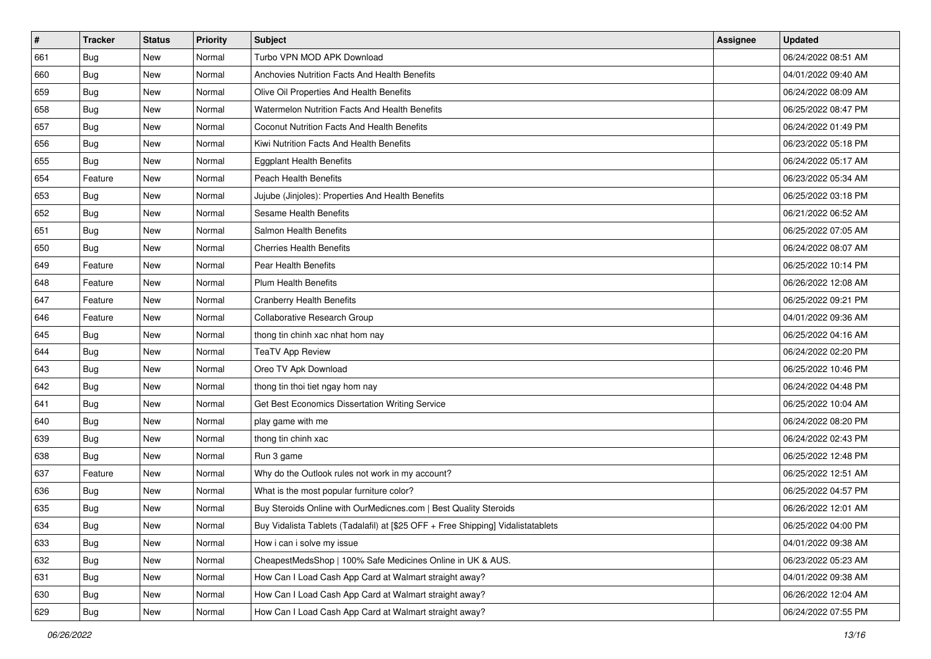| $\sharp$ | <b>Tracker</b> | <b>Status</b> | Priority | <b>Subject</b>                                                                   | <b>Assignee</b> | <b>Updated</b>      |
|----------|----------------|---------------|----------|----------------------------------------------------------------------------------|-----------------|---------------------|
| 661      | <b>Bug</b>     | New           | Normal   | Turbo VPN MOD APK Download                                                       |                 | 06/24/2022 08:51 AM |
| 660      | <b>Bug</b>     | New           | Normal   | Anchovies Nutrition Facts And Health Benefits                                    |                 | 04/01/2022 09:40 AM |
| 659      | Bug            | New           | Normal   | Olive Oil Properties And Health Benefits                                         |                 | 06/24/2022 08:09 AM |
| 658      | Bug            | New           | Normal   | Watermelon Nutrition Facts And Health Benefits                                   |                 | 06/25/2022 08:47 PM |
| 657      | Bug            | New           | Normal   | Coconut Nutrition Facts And Health Benefits                                      |                 | 06/24/2022 01:49 PM |
| 656      | <b>Bug</b>     | New           | Normal   | Kiwi Nutrition Facts And Health Benefits                                         |                 | 06/23/2022 05:18 PM |
| 655      | Bug            | New           | Normal   | <b>Eggplant Health Benefits</b>                                                  |                 | 06/24/2022 05:17 AM |
| 654      | Feature        | New           | Normal   | Peach Health Benefits                                                            |                 | 06/23/2022 05:34 AM |
| 653      | Bug            | New           | Normal   | Jujube (Jinjoles): Properties And Health Benefits                                |                 | 06/25/2022 03:18 PM |
| 652      | Bug            | New           | Normal   | Sesame Health Benefits                                                           |                 | 06/21/2022 06:52 AM |
| 651      | <b>Bug</b>     | New           | Normal   | Salmon Health Benefits                                                           |                 | 06/25/2022 07:05 AM |
| 650      | Bug            | New           | Normal   | <b>Cherries Health Benefits</b>                                                  |                 | 06/24/2022 08:07 AM |
| 649      | Feature        | New           | Normal   | Pear Health Benefits                                                             |                 | 06/25/2022 10:14 PM |
| 648      | Feature        | New           | Normal   | <b>Plum Health Benefits</b>                                                      |                 | 06/26/2022 12:08 AM |
| 647      | Feature        | New           | Normal   | <b>Cranberry Health Benefits</b>                                                 |                 | 06/25/2022 09:21 PM |
| 646      | Feature        | New           | Normal   | Collaborative Research Group                                                     |                 | 04/01/2022 09:36 AM |
| 645      | Bug            | New           | Normal   | thong tin chinh xac nhat hom nay                                                 |                 | 06/25/2022 04:16 AM |
| 644      | Bug            | New           | Normal   | <b>TeaTV App Review</b>                                                          |                 | 06/24/2022 02:20 PM |
| 643      | Bug            | New           | Normal   | Oreo TV Apk Download                                                             |                 | 06/25/2022 10:46 PM |
| 642      | Bug            | New           | Normal   | thong tin thoi tiet ngay hom nay                                                 |                 | 06/24/2022 04:48 PM |
| 641      | <b>Bug</b>     | New           | Normal   | Get Best Economics Dissertation Writing Service                                  |                 | 06/25/2022 10:04 AM |
| 640      | Bug            | New           | Normal   | play game with me                                                                |                 | 06/24/2022 08:20 PM |
| 639      | Bug            | New           | Normal   | thong tin chinh xac                                                              |                 | 06/24/2022 02:43 PM |
| 638      | Bug            | New           | Normal   | Run 3 game                                                                       |                 | 06/25/2022 12:48 PM |
| 637      | Feature        | New           | Normal   | Why do the Outlook rules not work in my account?                                 |                 | 06/25/2022 12:51 AM |
| 636      | Bug            | New           | Normal   | What is the most popular furniture color?                                        |                 | 06/25/2022 04:57 PM |
| 635      | Bug            | New           | Normal   | Buy Steroids Online with OurMedicnes.com   Best Quality Steroids                 |                 | 06/26/2022 12:01 AM |
| 634      | Bug            | New           | Normal   | Buy Vidalista Tablets (Tadalafil) at [\$25 OFF + Free Shipping] Vidalistatablets |                 | 06/25/2022 04:00 PM |
| 633      | <b>Bug</b>     | New           | Normal   | How i can i solve my issue                                                       |                 | 04/01/2022 09:38 AM |
| 632      | Bug            | New           | Normal   | CheapestMedsShop   100% Safe Medicines Online in UK & AUS.                       |                 | 06/23/2022 05:23 AM |
| 631      | <b>Bug</b>     | New           | Normal   | How Can I Load Cash App Card at Walmart straight away?                           |                 | 04/01/2022 09:38 AM |
| 630      | Bug            | New           | Normal   | How Can I Load Cash App Card at Walmart straight away?                           |                 | 06/26/2022 12:04 AM |
| 629      | <b>Bug</b>     | New           | Normal   | How Can I Load Cash App Card at Walmart straight away?                           |                 | 06/24/2022 07:55 PM |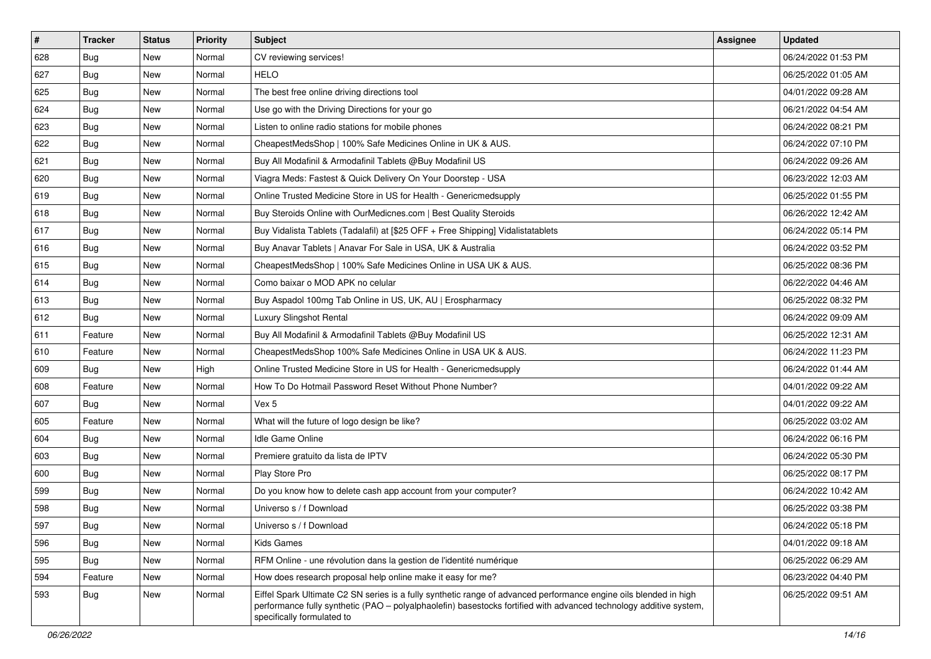| $\sharp$ | <b>Tracker</b> | <b>Status</b> | <b>Priority</b> | <b>Subject</b>                                                                                                                                                                                                                                                        | Assignee | <b>Updated</b>      |
|----------|----------------|---------------|-----------------|-----------------------------------------------------------------------------------------------------------------------------------------------------------------------------------------------------------------------------------------------------------------------|----------|---------------------|
| 628      | Bug            | New           | Normal          | CV reviewing services!                                                                                                                                                                                                                                                |          | 06/24/2022 01:53 PM |
| 627      | <b>Bug</b>     | New           | Normal          | <b>HELO</b>                                                                                                                                                                                                                                                           |          | 06/25/2022 01:05 AM |
| 625      | Bug            | New           | Normal          | The best free online driving directions tool                                                                                                                                                                                                                          |          | 04/01/2022 09:28 AM |
| 624      | Bug            | New           | Normal          | Use go with the Driving Directions for your go                                                                                                                                                                                                                        |          | 06/21/2022 04:54 AM |
| 623      | Bug            | New           | Normal          | Listen to online radio stations for mobile phones                                                                                                                                                                                                                     |          | 06/24/2022 08:21 PM |
| 622      | <b>Bug</b>     | New           | Normal          | CheapestMedsShop   100% Safe Medicines Online in UK & AUS.                                                                                                                                                                                                            |          | 06/24/2022 07:10 PM |
| 621      | Bug            | New           | Normal          | Buy All Modafinil & Armodafinil Tablets @Buy Modafinil US                                                                                                                                                                                                             |          | 06/24/2022 09:26 AM |
| 620      | <b>Bug</b>     | New           | Normal          | Viagra Meds: Fastest & Quick Delivery On Your Doorstep - USA                                                                                                                                                                                                          |          | 06/23/2022 12:03 AM |
| 619      | <b>Bug</b>     | New           | Normal          | Online Trusted Medicine Store in US for Health - Genericmedsupply                                                                                                                                                                                                     |          | 06/25/2022 01:55 PM |
| 618      | Bug            | New           | Normal          | Buy Steroids Online with OurMedicnes.com   Best Quality Steroids                                                                                                                                                                                                      |          | 06/26/2022 12:42 AM |
| 617      | <b>Bug</b>     | New           | Normal          | Buy Vidalista Tablets (Tadalafil) at [\$25 OFF + Free Shipping] Vidalistatablets                                                                                                                                                                                      |          | 06/24/2022 05:14 PM |
| 616      | Bug            | New           | Normal          | Buy Anavar Tablets   Anavar For Sale in USA, UK & Australia                                                                                                                                                                                                           |          | 06/24/2022 03:52 PM |
| 615      | Bug            | New           | Normal          | CheapestMedsShop   100% Safe Medicines Online in USA UK & AUS.                                                                                                                                                                                                        |          | 06/25/2022 08:36 PM |
| 614      | <b>Bug</b>     | New           | Normal          | Como baixar o MOD APK no celular                                                                                                                                                                                                                                      |          | 06/22/2022 04:46 AM |
| 613      | <b>Bug</b>     | New           | Normal          | Buy Aspadol 100mg Tab Online in US, UK, AU   Erospharmacy                                                                                                                                                                                                             |          | 06/25/2022 08:32 PM |
| 612      | Bug            | New           | Normal          | Luxury Slingshot Rental                                                                                                                                                                                                                                               |          | 06/24/2022 09:09 AM |
| 611      | Feature        | New           | Normal          | Buy All Modafinil & Armodafinil Tablets @Buy Modafinil US                                                                                                                                                                                                             |          | 06/25/2022 12:31 AM |
| 610      | Feature        | New           | Normal          | CheapestMedsShop 100% Safe Medicines Online in USA UK & AUS.                                                                                                                                                                                                          |          | 06/24/2022 11:23 PM |
| 609      | Bug            | New           | High            | Online Trusted Medicine Store in US for Health - Genericmedsupply                                                                                                                                                                                                     |          | 06/24/2022 01:44 AM |
| 608      | Feature        | New           | Normal          | How To Do Hotmail Password Reset Without Phone Number?                                                                                                                                                                                                                |          | 04/01/2022 09:22 AM |
| 607      | Bug            | New           | Normal          | Vex 5                                                                                                                                                                                                                                                                 |          | 04/01/2022 09:22 AM |
| 605      | Feature        | New           | Normal          | What will the future of logo design be like?                                                                                                                                                                                                                          |          | 06/25/2022 03:02 AM |
| 604      | Bug            | New           | Normal          | <b>Idle Game Online</b>                                                                                                                                                                                                                                               |          | 06/24/2022 06:16 PM |
| 603      | <b>Bug</b>     | New           | Normal          | Premiere gratuito da lista de IPTV                                                                                                                                                                                                                                    |          | 06/24/2022 05:30 PM |
| 600      | Bug            | New           | Normal          | Play Store Pro                                                                                                                                                                                                                                                        |          | 06/25/2022 08:17 PM |
| 599      | Bug            | New           | Normal          | Do you know how to delete cash app account from your computer?                                                                                                                                                                                                        |          | 06/24/2022 10:42 AM |
| 598      | <b>Bug</b>     | New           | Normal          | Universo s / f Download                                                                                                                                                                                                                                               |          | 06/25/2022 03:38 PM |
| 597      | I Bug          | New           | Normal          | Universo s / f Download                                                                                                                                                                                                                                               |          | 06/24/2022 05:18 PM |
| 596      | <b>Bug</b>     | New           | Normal          | Kids Games                                                                                                                                                                                                                                                            |          | 04/01/2022 09:18 AM |
| 595      | Bug            | New           | Normal          | RFM Online - une révolution dans la gestion de l'identité numérique                                                                                                                                                                                                   |          | 06/25/2022 06:29 AM |
| 594      | Feature        | New           | Normal          | How does research proposal help online make it easy for me?                                                                                                                                                                                                           |          | 06/23/2022 04:40 PM |
| 593      | <b>Bug</b>     | New           | Normal          | Eiffel Spark Ultimate C2 SN series is a fully synthetic range of advanced performance engine oils blended in high<br>performance fully synthetic (PAO - polyalphaolefin) basestocks fortified with advanced technology additive system,<br>specifically formulated to |          | 06/25/2022 09:51 AM |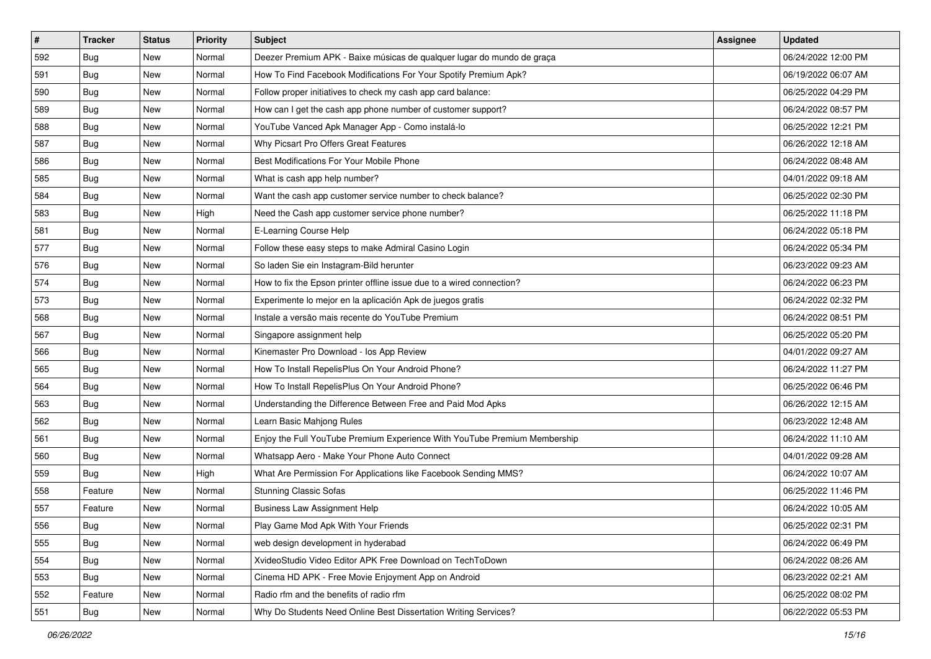| $\sharp$ | <b>Tracker</b> | <b>Status</b> | <b>Priority</b> | Subject                                                                   | <b>Assignee</b> | <b>Updated</b>      |
|----------|----------------|---------------|-----------------|---------------------------------------------------------------------------|-----------------|---------------------|
| 592      | <b>Bug</b>     | New           | Normal          | Deezer Premium APK - Baixe músicas de qualquer lugar do mundo de graça    |                 | 06/24/2022 12:00 PM |
| 591      | Bug            | New           | Normal          | How To Find Facebook Modifications For Your Spotify Premium Apk?          |                 | 06/19/2022 06:07 AM |
| 590      | Bug            | New           | Normal          | Follow proper initiatives to check my cash app card balance:              |                 | 06/25/2022 04:29 PM |
| 589      | <b>Bug</b>     | New           | Normal          | How can I get the cash app phone number of customer support?              |                 | 06/24/2022 08:57 PM |
| 588      | Bug            | New           | Normal          | YouTube Vanced Apk Manager App - Como instalá-lo                          |                 | 06/25/2022 12:21 PM |
| 587      | <b>Bug</b>     | New           | Normal          | Why Picsart Pro Offers Great Features                                     |                 | 06/26/2022 12:18 AM |
| 586      | Bug            | New           | Normal          | Best Modifications For Your Mobile Phone                                  |                 | 06/24/2022 08:48 AM |
| 585      | Bug            | New           | Normal          | What is cash app help number?                                             |                 | 04/01/2022 09:18 AM |
| 584      | Bug            | New           | Normal          | Want the cash app customer service number to check balance?               |                 | 06/25/2022 02:30 PM |
| 583      | <b>Bug</b>     | New           | High            | Need the Cash app customer service phone number?                          |                 | 06/25/2022 11:18 PM |
| 581      | <b>Bug</b>     | New           | Normal          | E-Learning Course Help                                                    |                 | 06/24/2022 05:18 PM |
| 577      | Bug            | New           | Normal          | Follow these easy steps to make Admiral Casino Login                      |                 | 06/24/2022 05:34 PM |
| 576      | Bug            | New           | Normal          | So laden Sie ein Instagram-Bild herunter                                  |                 | 06/23/2022 09:23 AM |
| 574      | <b>Bug</b>     | New           | Normal          | How to fix the Epson printer offline issue due to a wired connection?     |                 | 06/24/2022 06:23 PM |
| 573      | <b>Bug</b>     | New           | Normal          | Experimente lo mejor en la aplicación Apk de juegos gratis                |                 | 06/24/2022 02:32 PM |
| 568      | Bug            | New           | Normal          | Instale a versão mais recente do YouTube Premium                          |                 | 06/24/2022 08:51 PM |
| 567      | <b>Bug</b>     | New           | Normal          | Singapore assignment help                                                 |                 | 06/25/2022 05:20 PM |
| 566      | Bug            | New           | Normal          | Kinemaster Pro Download - los App Review                                  |                 | 04/01/2022 09:27 AM |
| 565      | <b>Bug</b>     | New           | Normal          | How To Install RepelisPlus On Your Android Phone?                         |                 | 06/24/2022 11:27 PM |
| 564      | Bug            | New           | Normal          | How To Install RepelisPlus On Your Android Phone?                         |                 | 06/25/2022 06:46 PM |
| 563      | Bug            | <b>New</b>    | Normal          | Understanding the Difference Between Free and Paid Mod Apks               |                 | 06/26/2022 12:15 AM |
| 562      | Bug            | New           | Normal          | Learn Basic Mahjong Rules                                                 |                 | 06/23/2022 12:48 AM |
| 561      | Bug            | New           | Normal          | Enjoy the Full YouTube Premium Experience With YouTube Premium Membership |                 | 06/24/2022 11:10 AM |
| 560      | <b>Bug</b>     | New           | Normal          | Whatsapp Aero - Make Your Phone Auto Connect                              |                 | 04/01/2022 09:28 AM |
| 559      | Bug            | New           | High            | What Are Permission For Applications like Facebook Sending MMS?           |                 | 06/24/2022 10:07 AM |
| 558      | Feature        | New           | Normal          | <b>Stunning Classic Sofas</b>                                             |                 | 06/25/2022 11:46 PM |
| 557      | Feature        | New           | Normal          | <b>Business Law Assignment Help</b>                                       |                 | 06/24/2022 10:05 AM |
| 556      | <b>Bug</b>     | New           | Normal          | Play Game Mod Apk With Your Friends                                       |                 | 06/25/2022 02:31 PM |
| 555      | Bug            | New           | Normal          | web design development in hyderabad                                       |                 | 06/24/2022 06:49 PM |
| 554      | <b>Bug</b>     | New           | Normal          | XvideoStudio Video Editor APK Free Download on TechToDown                 |                 | 06/24/2022 08:26 AM |
| 553      | Bug            | New           | Normal          | Cinema HD APK - Free Movie Enjoyment App on Android                       |                 | 06/23/2022 02:21 AM |
| 552      | Feature        | New           | Normal          | Radio rfm and the benefits of radio rfm                                   |                 | 06/25/2022 08:02 PM |
| 551      | <b>Bug</b>     | New           | Normal          | Why Do Students Need Online Best Dissertation Writing Services?           |                 | 06/22/2022 05:53 PM |